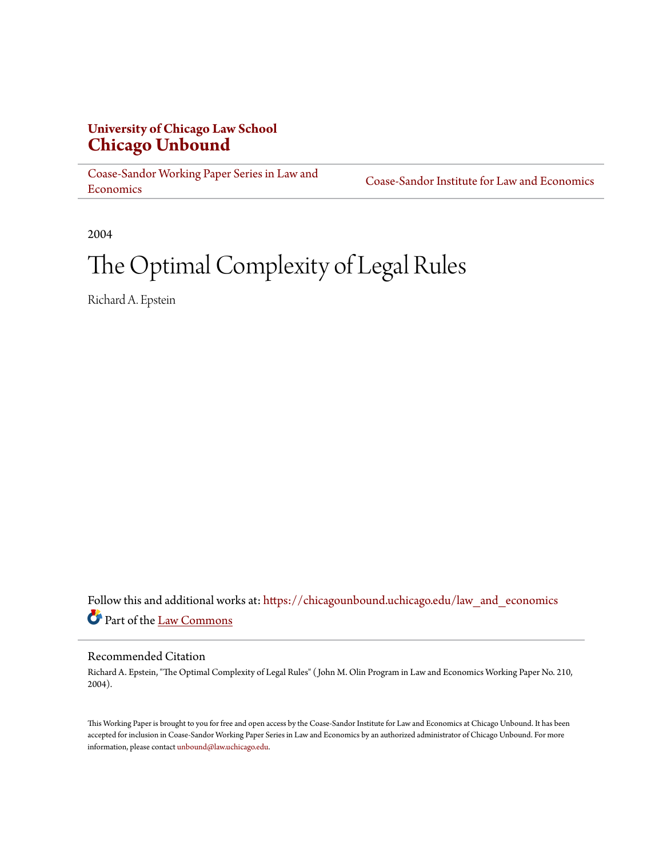# **University of Chicago Law School [Chicago Unbound](https://chicagounbound.uchicago.edu?utm_source=chicagounbound.uchicago.edu%2Flaw_and_economics%2F552&utm_medium=PDF&utm_campaign=PDFCoverPages)**

[Coase-Sandor Working Paper Series in Law and](https://chicagounbound.uchicago.edu/law_and_economics?utm_source=chicagounbound.uchicago.edu%2Flaw_and_economics%2F552&utm_medium=PDF&utm_campaign=PDFCoverPages) [Economics](https://chicagounbound.uchicago.edu/law_and_economics?utm_source=chicagounbound.uchicago.edu%2Flaw_and_economics%2F552&utm_medium=PDF&utm_campaign=PDFCoverPages)

[Coase-Sandor Institute for Law and Economics](https://chicagounbound.uchicago.edu/coase_sandor_institute?utm_source=chicagounbound.uchicago.edu%2Flaw_and_economics%2F552&utm_medium=PDF&utm_campaign=PDFCoverPages)

2004

# The Optimal Complexity of Legal Rules

Richard A. Epstein

Follow this and additional works at: [https://chicagounbound.uchicago.edu/law\\_and\\_economics](https://chicagounbound.uchicago.edu/law_and_economics?utm_source=chicagounbound.uchicago.edu%2Flaw_and_economics%2F552&utm_medium=PDF&utm_campaign=PDFCoverPages) Part of the [Law Commons](http://network.bepress.com/hgg/discipline/578?utm_source=chicagounbound.uchicago.edu%2Flaw_and_economics%2F552&utm_medium=PDF&utm_campaign=PDFCoverPages)

#### Recommended Citation

Richard A. Epstein, "The Optimal Complexity of Legal Rules" ( John M. Olin Program in Law and Economics Working Paper No. 210, 2004).

This Working Paper is brought to you for free and open access by the Coase-Sandor Institute for Law and Economics at Chicago Unbound. It has been accepted for inclusion in Coase-Sandor Working Paper Series in Law and Economics by an authorized administrator of Chicago Unbound. For more information, please contact [unbound@law.uchicago.edu.](mailto:unbound@law.uchicago.edu)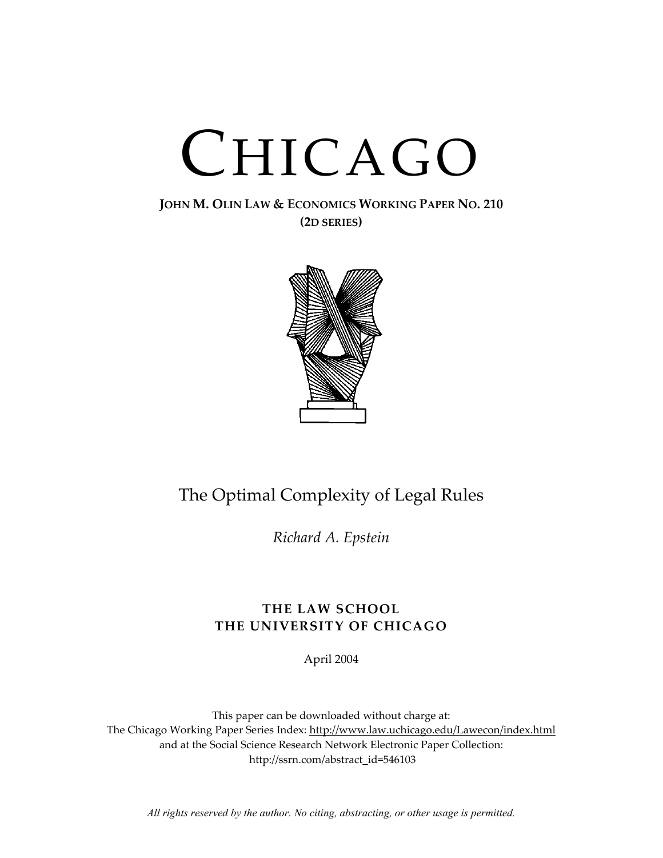# CHICAGO

## **JOHN M. OLIN LAW & ECONOMICS WORKING PAPER NO. 210 (2D SERIES)**



# The Optimal Complexity of Legal Rules

*Richard A. Epstein*

## **THE LAW SCHOOL THE UNIVERSITY OF CHICAGO**

April 2004

This paper can be downloaded without charge at: The Chicago Working Paper Series Index: [http://www.law.uchicago.edu/Lawecon/index.html](http://www.law.uchicago.edu/Publications/Working/index.html) and at the Social Science Research Network Electronic Paper Collection: [http://ssrn.com/abstract\\_id=546103](http://papers.ssrn.com/sol3/search.taf)

*All rights reserved by the author. No citing, abstracting, or other usage is permitted.*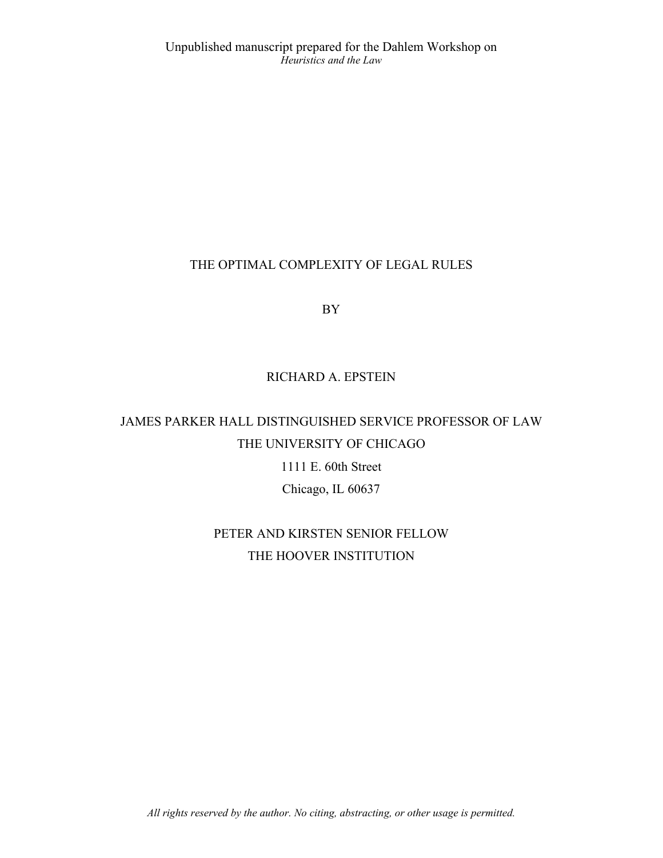### THE OPTIMAL COMPLEXITY OF LEGAL RULES

BY

## RICHARD A. EPSTEIN

# JAMES PARKER HALL DISTINGUISHED SERVICE PROFESSOR OF LAW THE UNIVERSITY OF CHICAGO 1111 E. 60th Street Chicago, IL 60637

# PETER AND KIRSTEN SENIOR FELLOW THE HOOVER INSTITUTION

*All rights reserved by the author. No citing, abstracting, or other usage is permitted.*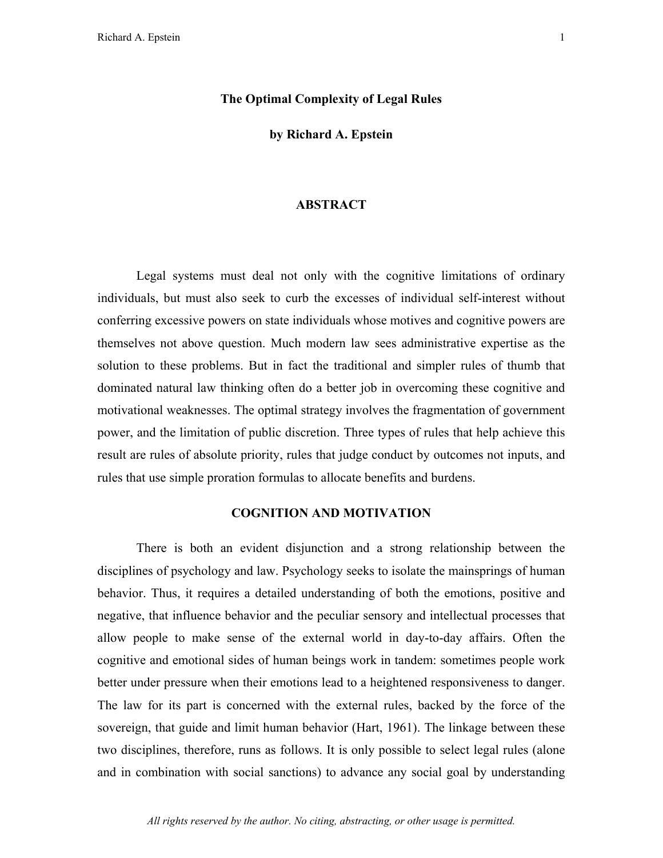#### **The Optimal Complexity of Legal Rules**

**by Richard A. Epstein** 

#### **ABSTRACT**

Legal systems must deal not only with the cognitive limitations of ordinary individuals, but must also seek to curb the excesses of individual self-interest without conferring excessive powers on state individuals whose motives and cognitive powers are themselves not above question. Much modern law sees administrative expertise as the solution to these problems. But in fact the traditional and simpler rules of thumb that dominated natural law thinking often do a better job in overcoming these cognitive and motivational weaknesses. The optimal strategy involves the fragmentation of government power, and the limitation of public discretion. Three types of rules that help achieve this result are rules of absolute priority, rules that judge conduct by outcomes not inputs, and rules that use simple proration formulas to allocate benefits and burdens.

#### **COGNITION AND MOTIVATION**

There is both an evident disjunction and a strong relationship between the disciplines of psychology and law. Psychology seeks to isolate the mainsprings of human behavior. Thus, it requires a detailed understanding of both the emotions, positive and negative, that influence behavior and the peculiar sensory and intellectual processes that allow people to make sense of the external world in day-to-day affairs. Often the cognitive and emotional sides of human beings work in tandem: sometimes people work better under pressure when their emotions lead to a heightened responsiveness to danger. The law for its part is concerned with the external rules, backed by the force of the sovereign, that guide and limit human behavior (Hart, 1961). The linkage between these two disciplines, therefore, runs as follows. It is only possible to select legal rules (alone and in combination with social sanctions) to advance any social goal by understanding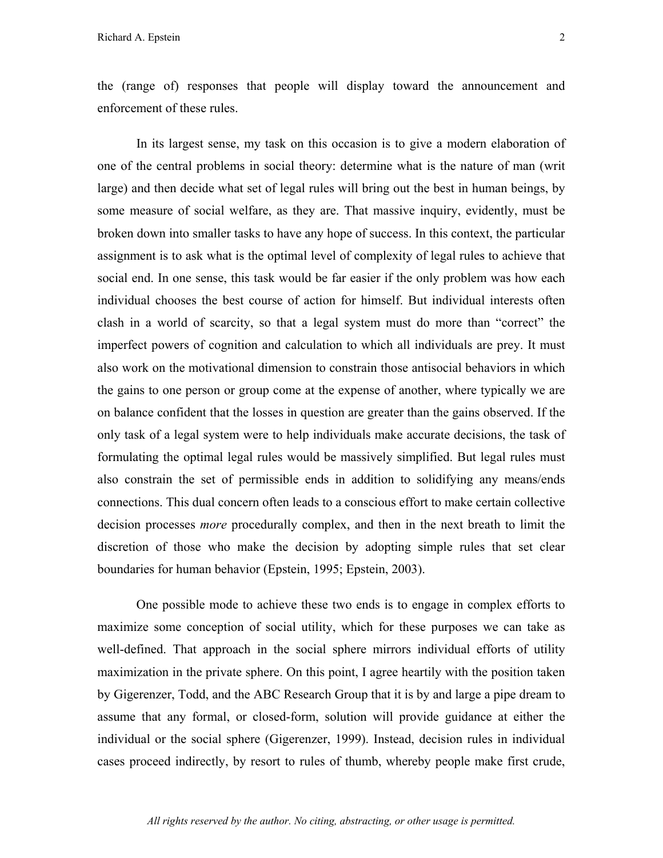the (range of) responses that people will display toward the announcement and enforcement of these rules.

In its largest sense, my task on this occasion is to give a modern elaboration of one of the central problems in social theory: determine what is the nature of man (writ large) and then decide what set of legal rules will bring out the best in human beings, by some measure of social welfare, as they are. That massive inquiry, evidently, must be broken down into smaller tasks to have any hope of success. In this context, the particular assignment is to ask what is the optimal level of complexity of legal rules to achieve that social end. In one sense, this task would be far easier if the only problem was how each individual chooses the best course of action for himself. But individual interests often clash in a world of scarcity, so that a legal system must do more than "correct" the imperfect powers of cognition and calculation to which all individuals are prey. It must also work on the motivational dimension to constrain those antisocial behaviors in which the gains to one person or group come at the expense of another, where typically we are on balance confident that the losses in question are greater than the gains observed. If the only task of a legal system were to help individuals make accurate decisions, the task of formulating the optimal legal rules would be massively simplified. But legal rules must also constrain the set of permissible ends in addition to solidifying any means/ends connections. This dual concern often leads to a conscious effort to make certain collective decision processes *more* procedurally complex, and then in the next breath to limit the discretion of those who make the decision by adopting simple rules that set clear boundaries for human behavior (Epstein, 1995; Epstein, 2003).

One possible mode to achieve these two ends is to engage in complex efforts to maximize some conception of social utility, which for these purposes we can take as well-defined. That approach in the social sphere mirrors individual efforts of utility maximization in the private sphere. On this point, I agree heartily with the position taken by Gigerenzer, Todd, and the ABC Research Group that it is by and large a pipe dream to assume that any formal, or closed-form, solution will provide guidance at either the individual or the social sphere (Gigerenzer, 1999). Instead, decision rules in individual cases proceed indirectly, by resort to rules of thumb, whereby people make first crude,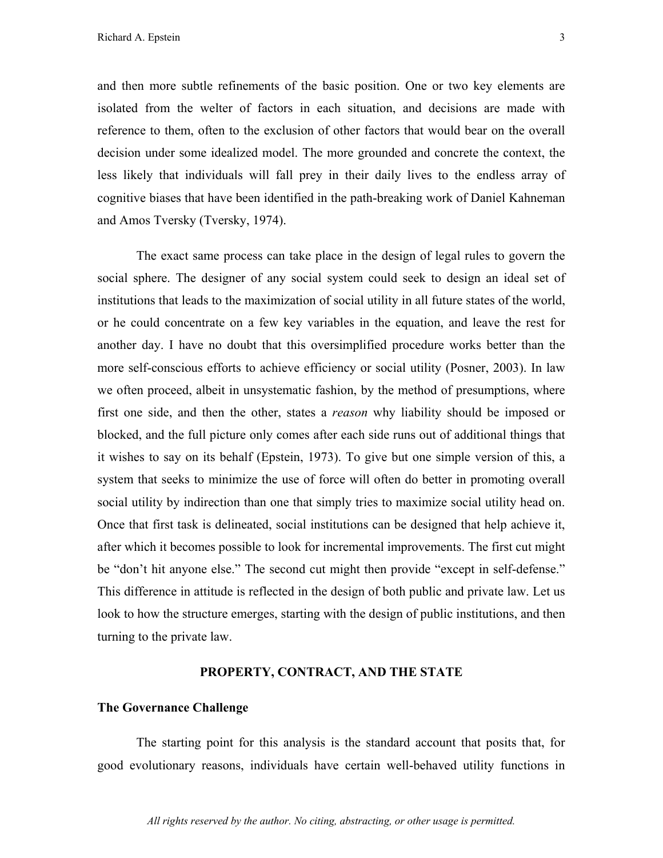and then more subtle refinements of the basic position. One or two key elements are isolated from the welter of factors in each situation, and decisions are made with reference to them, often to the exclusion of other factors that would bear on the overall decision under some idealized model. The more grounded and concrete the context, the less likely that individuals will fall prey in their daily lives to the endless array of cognitive biases that have been identified in the path-breaking work of Daniel Kahneman and Amos Tversky (Tversky, 1974).

The exact same process can take place in the design of legal rules to govern the social sphere. The designer of any social system could seek to design an ideal set of institutions that leads to the maximization of social utility in all future states of the world, or he could concentrate on a few key variables in the equation, and leave the rest for another day. I have no doubt that this oversimplified procedure works better than the more self-conscious efforts to achieve efficiency or social utility (Posner, 2003). In law we often proceed, albeit in unsystematic fashion, by the method of presumptions, where first one side, and then the other, states a *reason* why liability should be imposed or blocked, and the full picture only comes after each side runs out of additional things that it wishes to say on its behalf (Epstein, 1973). To give but one simple version of this, a system that seeks to minimize the use of force will often do better in promoting overall social utility by indirection than one that simply tries to maximize social utility head on. Once that first task is delineated, social institutions can be designed that help achieve it, after which it becomes possible to look for incremental improvements. The first cut might be "don't hit anyone else." The second cut might then provide "except in self-defense." This difference in attitude is reflected in the design of both public and private law. Let us look to how the structure emerges, starting with the design of public institutions, and then turning to the private law.

#### **PROPERTY, CONTRACT, AND THE STATE**

#### **The Governance Challenge**

The starting point for this analysis is the standard account that posits that, for good evolutionary reasons, individuals have certain well-behaved utility functions in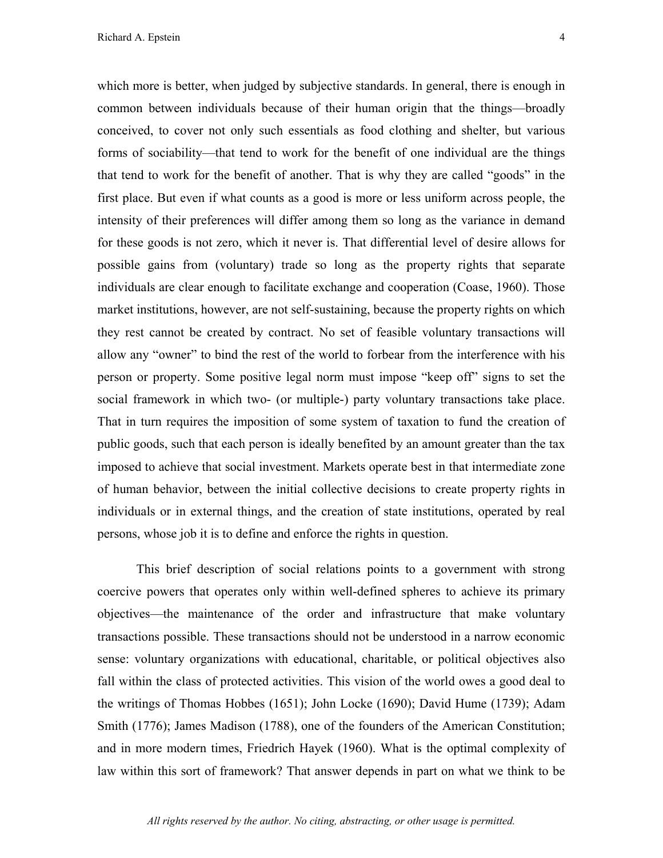which more is better, when judged by subjective standards. In general, there is enough in common between individuals because of their human origin that the things—broadly conceived, to cover not only such essentials as food clothing and shelter, but various forms of sociability—that tend to work for the benefit of one individual are the things that tend to work for the benefit of another. That is why they are called "goods" in the first place. But even if what counts as a good is more or less uniform across people, the intensity of their preferences will differ among them so long as the variance in demand for these goods is not zero, which it never is. That differential level of desire allows for possible gains from (voluntary) trade so long as the property rights that separate individuals are clear enough to facilitate exchange and cooperation (Coase, 1960). Those market institutions, however, are not self-sustaining, because the property rights on which they rest cannot be created by contract. No set of feasible voluntary transactions will allow any "owner" to bind the rest of the world to forbear from the interference with his person or property. Some positive legal norm must impose "keep off" signs to set the social framework in which two- (or multiple-) party voluntary transactions take place. That in turn requires the imposition of some system of taxation to fund the creation of public goods, such that each person is ideally benefited by an amount greater than the tax imposed to achieve that social investment. Markets operate best in that intermediate zone of human behavior, between the initial collective decisions to create property rights in individuals or in external things, and the creation of state institutions, operated by real persons, whose job it is to define and enforce the rights in question.

This brief description of social relations points to a government with strong coercive powers that operates only within well-defined spheres to achieve its primary objectives—the maintenance of the order and infrastructure that make voluntary transactions possible. These transactions should not be understood in a narrow economic sense: voluntary organizations with educational, charitable, or political objectives also fall within the class of protected activities. This vision of the world owes a good deal to the writings of Thomas Hobbes (1651); John Locke (1690); David Hume (1739); Adam Smith (1776); James Madison (1788), one of the founders of the American Constitution; and in more modern times, Friedrich Hayek (1960). What is the optimal complexity of law within this sort of framework? That answer depends in part on what we think to be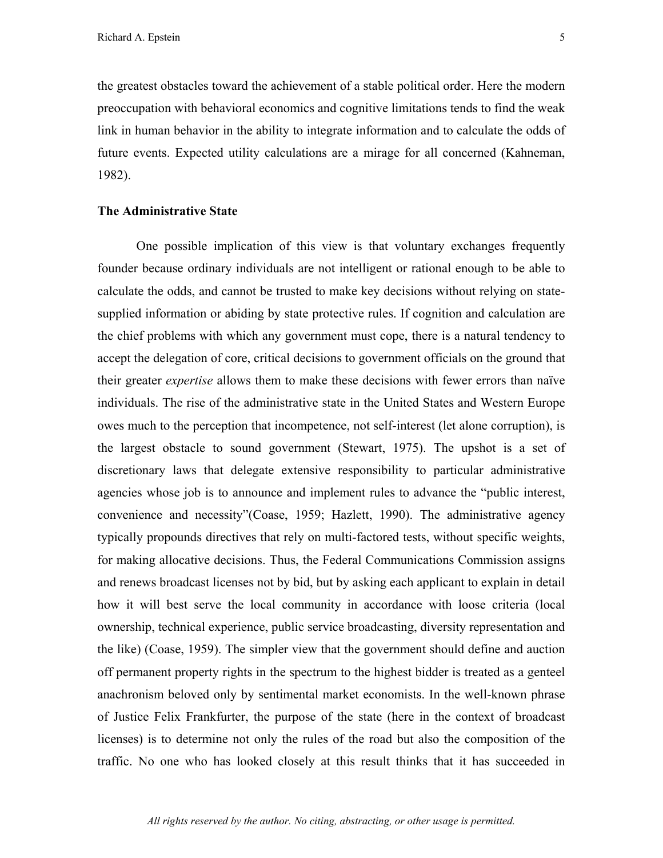1982).

the greatest obstacles toward the achievement of a stable political order. Here the modern preoccupation with behavioral economics and cognitive limitations tends to find the weak link in human behavior in the ability to integrate information and to calculate the odds of future events. Expected utility calculations are a mirage for all concerned (Kahneman,

#### **The Administrative State**

One possible implication of this view is that voluntary exchanges frequently founder because ordinary individuals are not intelligent or rational enough to be able to calculate the odds, and cannot be trusted to make key decisions without relying on statesupplied information or abiding by state protective rules. If cognition and calculation are the chief problems with which any government must cope, there is a natural tendency to accept the delegation of core, critical decisions to government officials on the ground that their greater *expertise* allows them to make these decisions with fewer errors than naïve individuals. The rise of the administrative state in the United States and Western Europe owes much to the perception that incompetence, not self-interest (let alone corruption), is the largest obstacle to sound government (Stewart, 1975). The upshot is a set of discretionary laws that delegate extensive responsibility to particular administrative agencies whose job is to announce and implement rules to advance the "public interest, convenience and necessity"(Coase, 1959; Hazlett, 1990). The administrative agency typically propounds directives that rely on multi-factored tests, without specific weights, for making allocative decisions. Thus, the Federal Communications Commission assigns and renews broadcast licenses not by bid, but by asking each applicant to explain in detail how it will best serve the local community in accordance with loose criteria (local ownership, technical experience, public service broadcasting, diversity representation and the like) (Coase, 1959). The simpler view that the government should define and auction off permanent property rights in the spectrum to the highest bidder is treated as a genteel anachronism beloved only by sentimental market economists. In the well-known phrase of Justice Felix Frankfurter, the purpose of the state (here in the context of broadcast licenses) is to determine not only the rules of the road but also the composition of the traffic. No one who has looked closely at this result thinks that it has succeeded in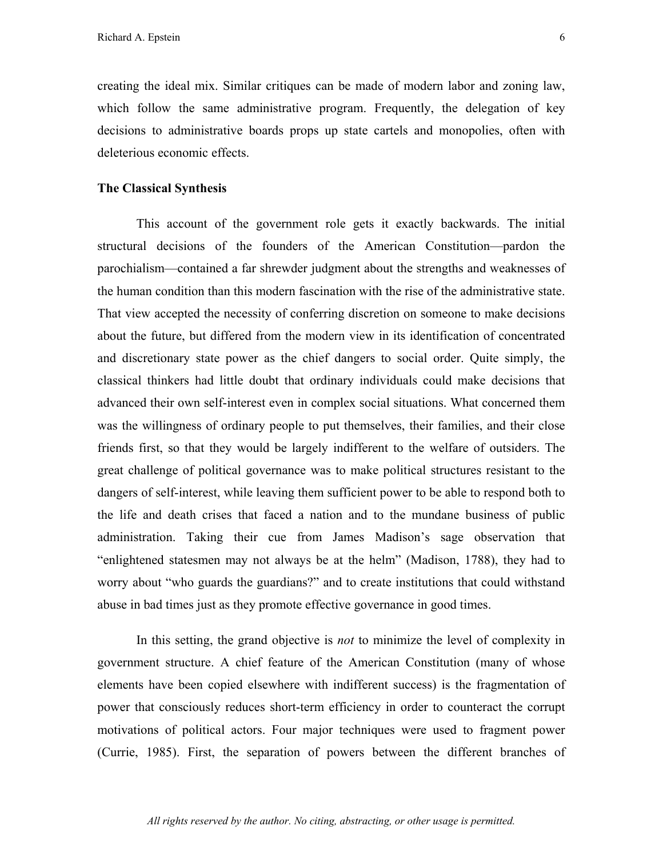creating the ideal mix. Similar critiques can be made of modern labor and zoning law, which follow the same administrative program. Frequently, the delegation of key decisions to administrative boards props up state cartels and monopolies, often with deleterious economic effects.

#### **The Classical Synthesis**

This account of the government role gets it exactly backwards. The initial structural decisions of the founders of the American Constitution—pardon the parochialism—contained a far shrewder judgment about the strengths and weaknesses of the human condition than this modern fascination with the rise of the administrative state. That view accepted the necessity of conferring discretion on someone to make decisions about the future, but differed from the modern view in its identification of concentrated and discretionary state power as the chief dangers to social order. Quite simply, the classical thinkers had little doubt that ordinary individuals could make decisions that advanced their own self-interest even in complex social situations. What concerned them was the willingness of ordinary people to put themselves, their families, and their close friends first, so that they would be largely indifferent to the welfare of outsiders. The great challenge of political governance was to make political structures resistant to the dangers of self-interest, while leaving them sufficient power to be able to respond both to the life and death crises that faced a nation and to the mundane business of public administration. Taking their cue from James Madison's sage observation that "enlightened statesmen may not always be at the helm" (Madison, 1788), they had to worry about "who guards the guardians?" and to create institutions that could withstand abuse in bad times just as they promote effective governance in good times.

In this setting, the grand objective is *not* to minimize the level of complexity in government structure. A chief feature of the American Constitution (many of whose elements have been copied elsewhere with indifferent success) is the fragmentation of power that consciously reduces short-term efficiency in order to counteract the corrupt motivations of political actors. Four major techniques were used to fragment power (Currie, 1985). First, the separation of powers between the different branches of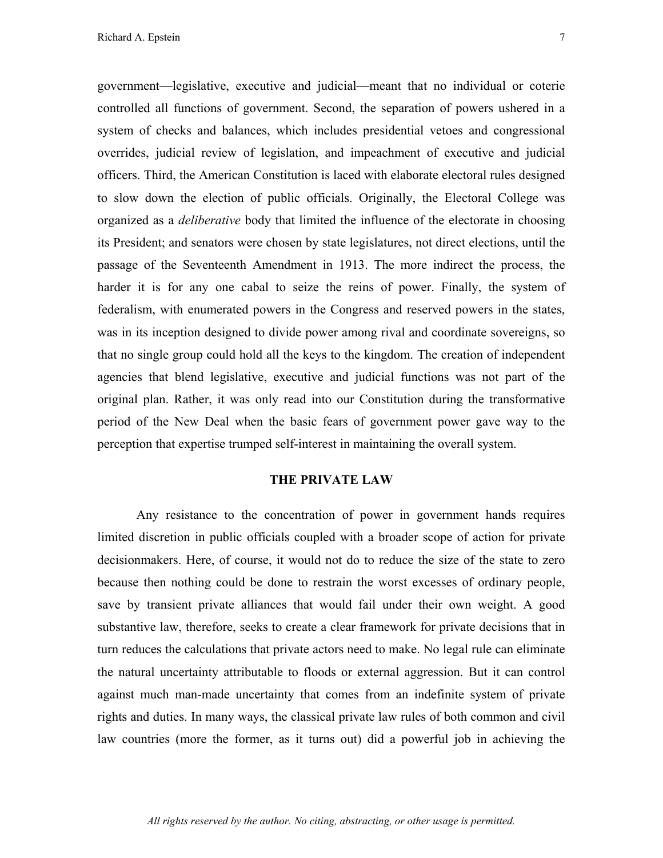government—legislative, executive and judicial—meant that no individual or coterie controlled all functions of government. Second, the separation of powers ushered in a system of checks and balances, which includes presidential vetoes and congressional overrides, judicial review of legislation, and impeachment of executive and judicial officers. Third, the American Constitution is laced with elaborate electoral rules designed to slow down the election of public officials. Originally, the Electoral College was organized as a *deliberative* body that limited the influence of the electorate in choosing its President; and senators were chosen by state legislatures, not direct elections, until the passage of the Seventeenth Amendment in 1913. The more indirect the process, the harder it is for any one cabal to seize the reins of power. Finally, the system of federalism, with enumerated powers in the Congress and reserved powers in the states, was in its inception designed to divide power among rival and coordinate sovereigns, so that no single group could hold all the keys to the kingdom. The creation of independent agencies that blend legislative, executive and judicial functions was not part of the original plan. Rather, it was only read into our Constitution during the transformative period of the New Deal when the basic fears of government power gave way to the perception that expertise trumped self-interest in maintaining the overall system.

#### **THE PRIVATE LAW**

Any resistance to the concentration of power in government hands requires limited discretion in public officials coupled with a broader scope of action for private decisionmakers. Here, of course, it would not do to reduce the size of the state to zero because then nothing could be done to restrain the worst excesses of ordinary people, save by transient private alliances that would fail under their own weight. A good substantive law, therefore, seeks to create a clear framework for private decisions that in turn reduces the calculations that private actors need to make. No legal rule can eliminate the natural uncertainty attributable to floods or external aggression. But it can control against much man-made uncertainty that comes from an indefinite system of private rights and duties. In many ways, the classical private law rules of both common and civil law countries (more the former, as it turns out) did a powerful job in achieving the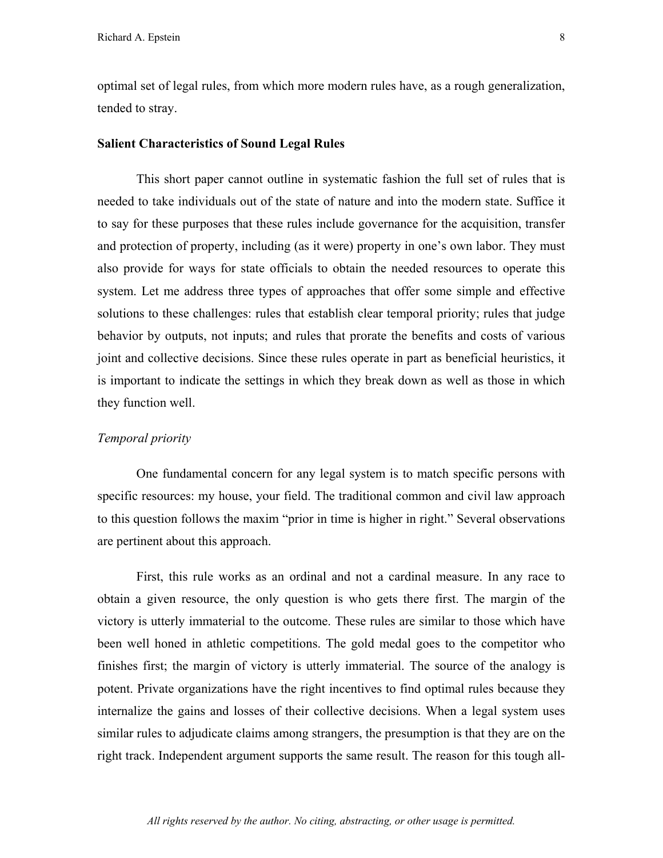optimal set of legal rules, from which more modern rules have, as a rough generalization, tended to stray.

#### **Salient Characteristics of Sound Legal Rules**

This short paper cannot outline in systematic fashion the full set of rules that is needed to take individuals out of the state of nature and into the modern state. Suffice it to say for these purposes that these rules include governance for the acquisition, transfer and protection of property, including (as it were) property in one's own labor. They must also provide for ways for state officials to obtain the needed resources to operate this system. Let me address three types of approaches that offer some simple and effective solutions to these challenges: rules that establish clear temporal priority; rules that judge behavior by outputs, not inputs; and rules that prorate the benefits and costs of various joint and collective decisions. Since these rules operate in part as beneficial heuristics, it is important to indicate the settings in which they break down as well as those in which they function well.

#### *Temporal priority*

One fundamental concern for any legal system is to match specific persons with specific resources: my house, your field. The traditional common and civil law approach to this question follows the maxim "prior in time is higher in right." Several observations are pertinent about this approach.

First, this rule works as an ordinal and not a cardinal measure. In any race to obtain a given resource, the only question is who gets there first. The margin of the victory is utterly immaterial to the outcome. These rules are similar to those which have been well honed in athletic competitions. The gold medal goes to the competitor who finishes first; the margin of victory is utterly immaterial. The source of the analogy is potent. Private organizations have the right incentives to find optimal rules because they internalize the gains and losses of their collective decisions. When a legal system uses similar rules to adjudicate claims among strangers, the presumption is that they are on the right track. Independent argument supports the same result. The reason for this tough all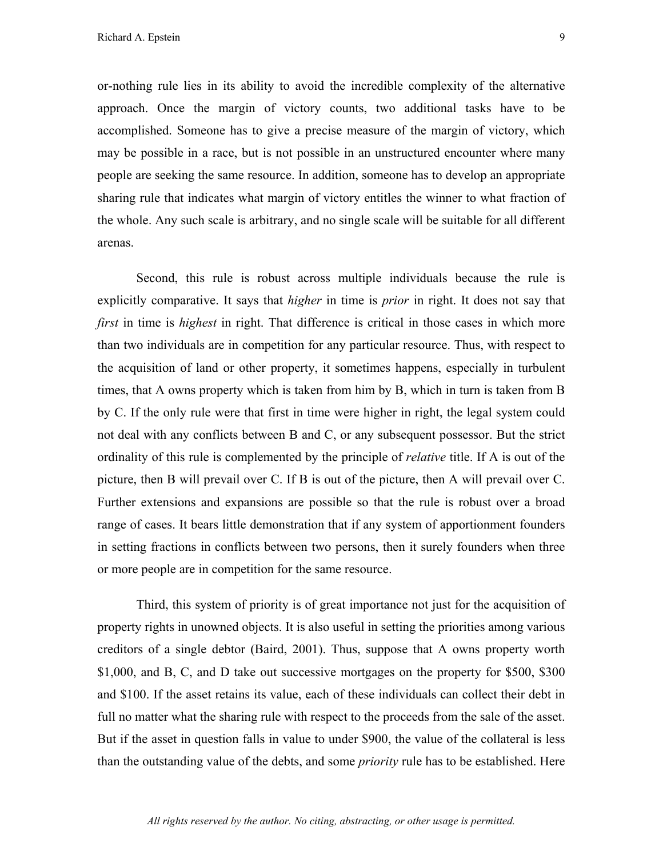or-nothing rule lies in its ability to avoid the incredible complexity of the alternative approach. Once the margin of victory counts, two additional tasks have to be accomplished. Someone has to give a precise measure of the margin of victory, which may be possible in a race, but is not possible in an unstructured encounter where many people are seeking the same resource. In addition, someone has to develop an appropriate sharing rule that indicates what margin of victory entitles the winner to what fraction of the whole. Any such scale is arbitrary, and no single scale will be suitable for all different arenas.

Second, this rule is robust across multiple individuals because the rule is explicitly comparative. It says that *higher* in time is *prior* in right. It does not say that *first* in time is *highest* in right. That difference is critical in those cases in which more than two individuals are in competition for any particular resource. Thus, with respect to the acquisition of land or other property, it sometimes happens, especially in turbulent times, that A owns property which is taken from him by B, which in turn is taken from B by C. If the only rule were that first in time were higher in right, the legal system could not deal with any conflicts between B and C, or any subsequent possessor. But the strict ordinality of this rule is complemented by the principle of *relative* title. If A is out of the picture, then B will prevail over C. If B is out of the picture, then A will prevail over C. Further extensions and expansions are possible so that the rule is robust over a broad range of cases. It bears little demonstration that if any system of apportionment founders in setting fractions in conflicts between two persons, then it surely founders when three or more people are in competition for the same resource.

Third, this system of priority is of great importance not just for the acquisition of property rights in unowned objects. It is also useful in setting the priorities among various creditors of a single debtor (Baird, 2001). Thus, suppose that A owns property worth \$1,000, and B, C, and D take out successive mortgages on the property for \$500, \$300 and \$100. If the asset retains its value, each of these individuals can collect their debt in full no matter what the sharing rule with respect to the proceeds from the sale of the asset. But if the asset in question falls in value to under \$900, the value of the collateral is less than the outstanding value of the debts, and some *priority* rule has to be established. Here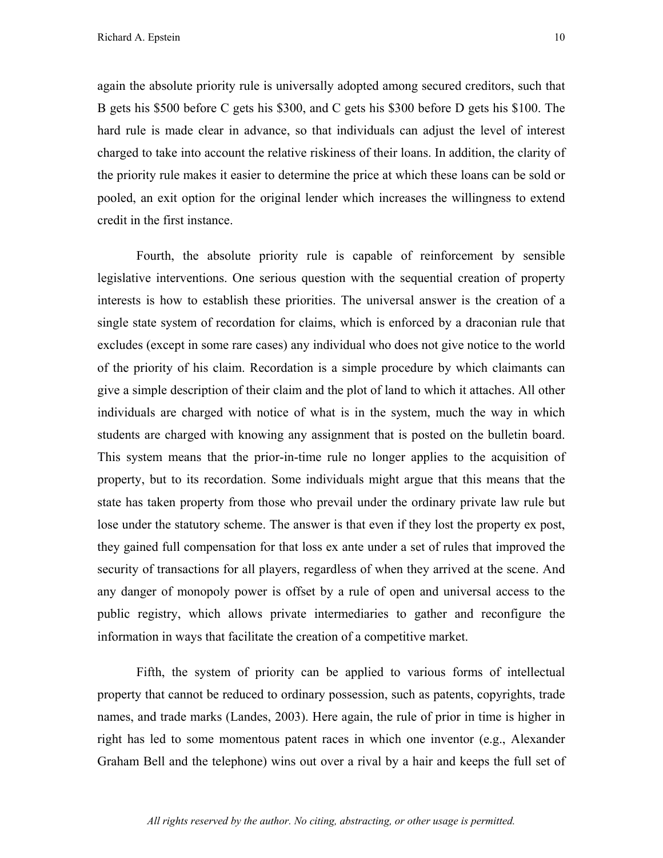again the absolute priority rule is universally adopted among secured creditors, such that B gets his \$500 before C gets his \$300, and C gets his \$300 before D gets his \$100. The hard rule is made clear in advance, so that individuals can adjust the level of interest charged to take into account the relative riskiness of their loans. In addition, the clarity of the priority rule makes it easier to determine the price at which these loans can be sold or pooled, an exit option for the original lender which increases the willingness to extend credit in the first instance.

Fourth, the absolute priority rule is capable of reinforcement by sensible legislative interventions. One serious question with the sequential creation of property interests is how to establish these priorities. The universal answer is the creation of a single state system of recordation for claims, which is enforced by a draconian rule that excludes (except in some rare cases) any individual who does not give notice to the world of the priority of his claim. Recordation is a simple procedure by which claimants can give a simple description of their claim and the plot of land to which it attaches. All other individuals are charged with notice of what is in the system, much the way in which students are charged with knowing any assignment that is posted on the bulletin board. This system means that the prior-in-time rule no longer applies to the acquisition of property, but to its recordation. Some individuals might argue that this means that the state has taken property from those who prevail under the ordinary private law rule but lose under the statutory scheme. The answer is that even if they lost the property ex post, they gained full compensation for that loss ex ante under a set of rules that improved the security of transactions for all players, regardless of when they arrived at the scene. And any danger of monopoly power is offset by a rule of open and universal access to the public registry, which allows private intermediaries to gather and reconfigure the information in ways that facilitate the creation of a competitive market.

Fifth, the system of priority can be applied to various forms of intellectual property that cannot be reduced to ordinary possession, such as patents, copyrights, trade names, and trade marks (Landes, 2003). Here again, the rule of prior in time is higher in right has led to some momentous patent races in which one inventor (e.g., Alexander Graham Bell and the telephone) wins out over a rival by a hair and keeps the full set of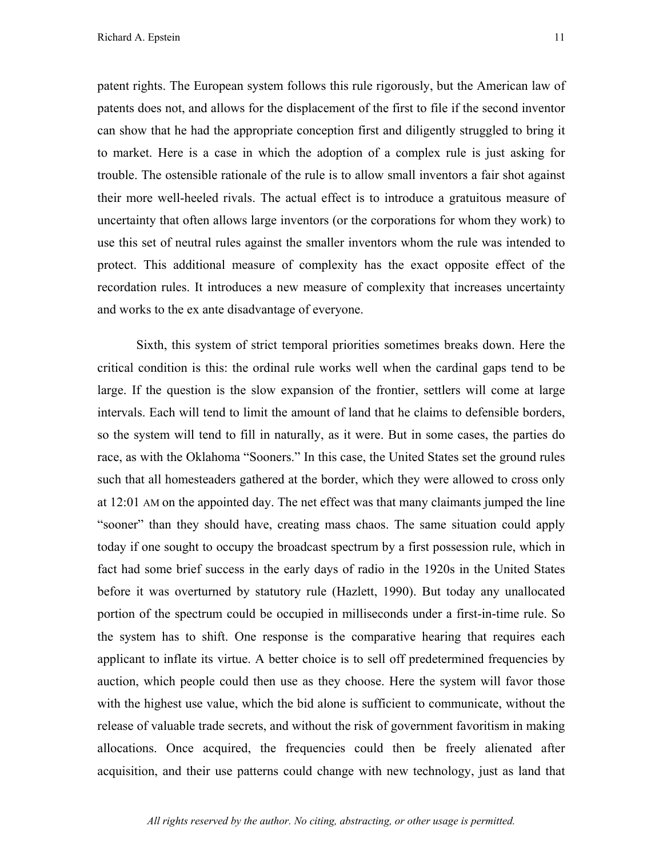patent rights. The European system follows this rule rigorously, but the American law of patents does not, and allows for the displacement of the first to file if the second inventor can show that he had the appropriate conception first and diligently struggled to bring it to market. Here is a case in which the adoption of a complex rule is just asking for trouble. The ostensible rationale of the rule is to allow small inventors a fair shot against their more well-heeled rivals. The actual effect is to introduce a gratuitous measure of uncertainty that often allows large inventors (or the corporations for whom they work) to use this set of neutral rules against the smaller inventors whom the rule was intended to protect. This additional measure of complexity has the exact opposite effect of the recordation rules. It introduces a new measure of complexity that increases uncertainty and works to the ex ante disadvantage of everyone.

Sixth, this system of strict temporal priorities sometimes breaks down. Here the critical condition is this: the ordinal rule works well when the cardinal gaps tend to be large. If the question is the slow expansion of the frontier, settlers will come at large intervals. Each will tend to limit the amount of land that he claims to defensible borders, so the system will tend to fill in naturally, as it were. But in some cases, the parties do race, as with the Oklahoma "Sooners." In this case, the United States set the ground rules such that all homesteaders gathered at the border, which they were allowed to cross only at 12:01 AM on the appointed day. The net effect was that many claimants jumped the line "sooner" than they should have, creating mass chaos. The same situation could apply today if one sought to occupy the broadcast spectrum by a first possession rule, which in fact had some brief success in the early days of radio in the 1920s in the United States before it was overturned by statutory rule (Hazlett, 1990). But today any unallocated portion of the spectrum could be occupied in milliseconds under a first-in-time rule. So the system has to shift. One response is the comparative hearing that requires each applicant to inflate its virtue. A better choice is to sell off predetermined frequencies by auction, which people could then use as they choose. Here the system will favor those with the highest use value, which the bid alone is sufficient to communicate, without the release of valuable trade secrets, and without the risk of government favoritism in making allocations. Once acquired, the frequencies could then be freely alienated after acquisition, and their use patterns could change with new technology, just as land that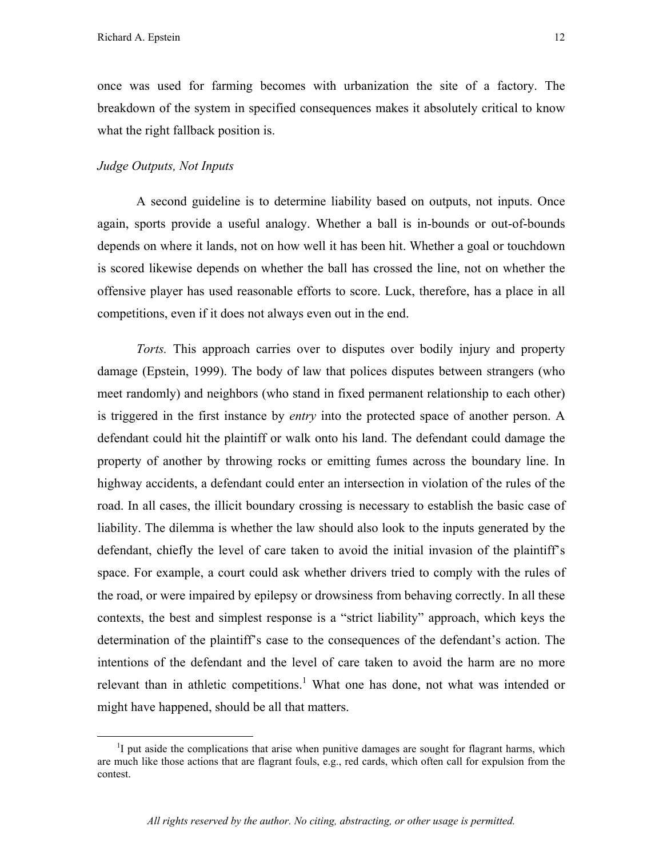once was used for farming becomes with urbanization the site of a factory. The breakdown of the system in specified consequences makes it absolutely critical to know what the right fallback position is.

#### *Judge Outputs, Not Inputs*

A second guideline is to determine liability based on outputs, not inputs. Once again, sports provide a useful analogy. Whether a ball is in-bounds or out-of-bounds depends on where it lands, not on how well it has been hit. Whether a goal or touchdown is scored likewise depends on whether the ball has crossed the line, not on whether the offensive player has used reasonable efforts to score. Luck, therefore, has a place in all competitions, even if it does not always even out in the end.

*Torts.* This approach carries over to disputes over bodily injury and property damage (Epstein, 1999). The body of law that polices disputes between strangers (who meet randomly) and neighbors (who stand in fixed permanent relationship to each other) is triggered in the first instance by *entry* into the protected space of another person. A defendant could hit the plaintiff or walk onto his land. The defendant could damage the property of another by throwing rocks or emitting fumes across the boundary line. In highway accidents, a defendant could enter an intersection in violation of the rules of the road. In all cases, the illicit boundary crossing is necessary to establish the basic case of liability. The dilemma is whether the law should also look to the inputs generated by the defendant, chiefly the level of care taken to avoid the initial invasion of the plaintiff's space. For example, a court could ask whether drivers tried to comply with the rules of the road, or were impaired by epilepsy or drowsiness from behaving correctly. In all these contexts, the best and simplest response is a "strict liability" approach, which keys the determination of the plaintiff's case to the consequences of the defendant's action. The intentions of the defendant and the level of care taken to avoid the harm are no more relevant than in athletic competitions.<sup>1</sup> What one has done, not what was intended or might have happened, should be all that matters.

<span id="page-14-0"></span> <sup>1</sup>  $I<sub>I</sub>$  put aside the complications that arise when punitive damages are sought for flagrant harms, which are much like those actions that are flagrant fouls, e.g., red cards, which often call for expulsion from the contest.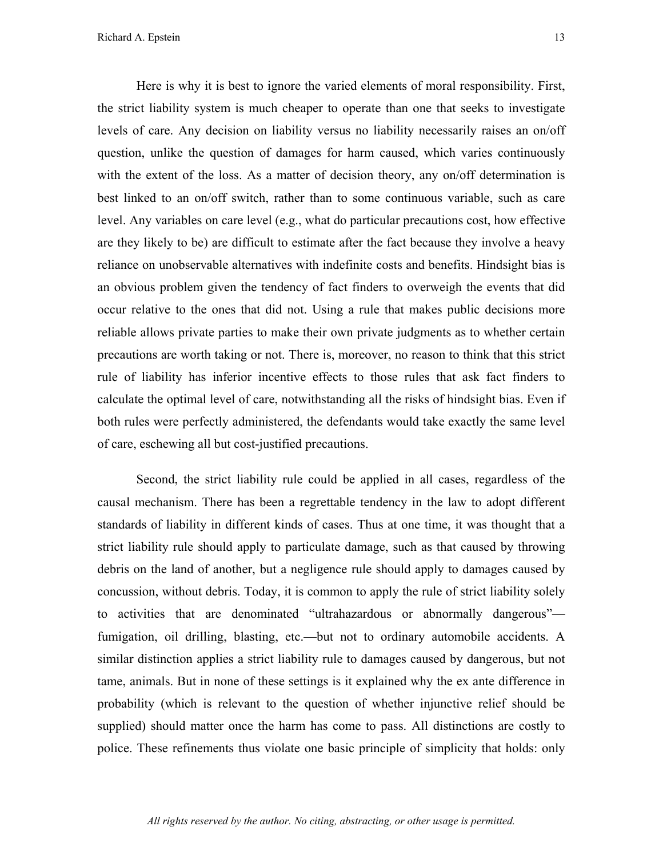Here is why it is best to ignore the varied elements of moral responsibility. First, the strict liability system is much cheaper to operate than one that seeks to investigate levels of care. Any decision on liability versus no liability necessarily raises an on/off question, unlike the question of damages for harm caused, which varies continuously with the extent of the loss. As a matter of decision theory, any on/off determination is

best linked to an on/off switch, rather than to some continuous variable, such as care level. Any variables on care level (e.g., what do particular precautions cost, how effective are they likely to be) are difficult to estimate after the fact because they involve a heavy reliance on unobservable alternatives with indefinite costs and benefits. Hindsight bias is an obvious problem given the tendency of fact finders to overweigh the events that did occur relative to the ones that did not. Using a rule that makes public decisions more reliable allows private parties to make their own private judgments as to whether certain precautions are worth taking or not. There is, moreover, no reason to think that this strict rule of liability has inferior incentive effects to those rules that ask fact finders to calculate the optimal level of care, notwithstanding all the risks of hindsight bias. Even if both rules were perfectly administered, the defendants would take exactly the same level of care, eschewing all but cost-justified precautions.

Second, the strict liability rule could be applied in all cases, regardless of the causal mechanism. There has been a regrettable tendency in the law to adopt different standards of liability in different kinds of cases. Thus at one time, it was thought that a strict liability rule should apply to particulate damage, such as that caused by throwing debris on the land of another, but a negligence rule should apply to damages caused by concussion, without debris. Today, it is common to apply the rule of strict liability solely to activities that are denominated "ultrahazardous or abnormally dangerous" fumigation, oil drilling, blasting, etc.—but not to ordinary automobile accidents. A similar distinction applies a strict liability rule to damages caused by dangerous, but not tame, animals. But in none of these settings is it explained why the ex ante difference in probability (which is relevant to the question of whether injunctive relief should be supplied) should matter once the harm has come to pass. All distinctions are costly to police. These refinements thus violate one basic principle of simplicity that holds: only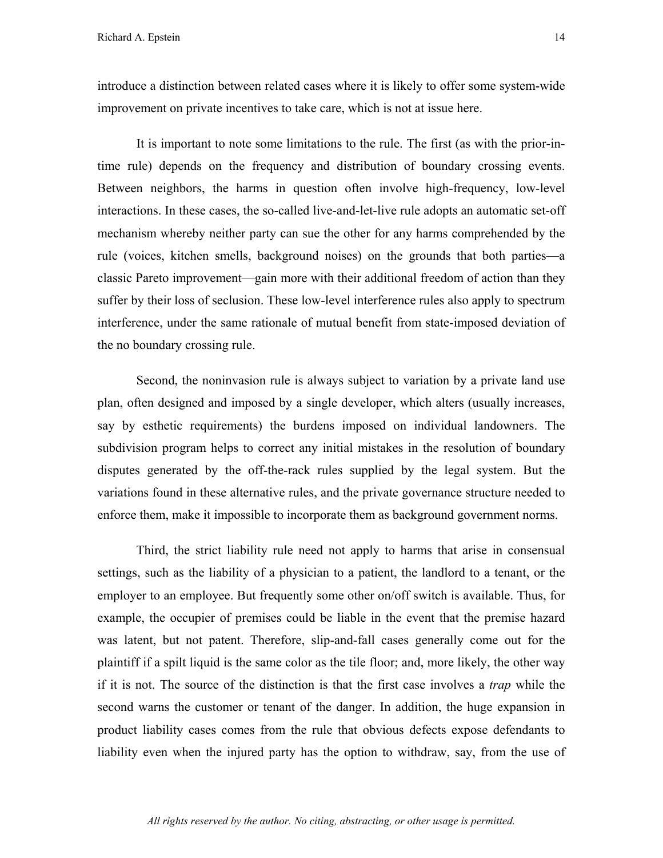introduce a distinction between related cases where it is likely to offer some system-wide improvement on private incentives to take care, which is not at issue here.

It is important to note some limitations to the rule. The first (as with the prior-intime rule) depends on the frequency and distribution of boundary crossing events. Between neighbors, the harms in question often involve high-frequency, low-level interactions. In these cases, the so-called live-and-let-live rule adopts an automatic set-off mechanism whereby neither party can sue the other for any harms comprehended by the rule (voices, kitchen smells, background noises) on the grounds that both parties—a classic Pareto improvement—gain more with their additional freedom of action than they suffer by their loss of seclusion. These low-level interference rules also apply to spectrum interference, under the same rationale of mutual benefit from state-imposed deviation of the no boundary crossing rule.

Second, the noninvasion rule is always subject to variation by a private land use plan, often designed and imposed by a single developer, which alters (usually increases, say by esthetic requirements) the burdens imposed on individual landowners. The subdivision program helps to correct any initial mistakes in the resolution of boundary disputes generated by the off-the-rack rules supplied by the legal system. But the variations found in these alternative rules, and the private governance structure needed to enforce them, make it impossible to incorporate them as background government norms.

Third, the strict liability rule need not apply to harms that arise in consensual settings, such as the liability of a physician to a patient, the landlord to a tenant, or the employer to an employee. But frequently some other on/off switch is available. Thus, for example, the occupier of premises could be liable in the event that the premise hazard was latent, but not patent. Therefore, slip-and-fall cases generally come out for the plaintiff if a spilt liquid is the same color as the tile floor; and, more likely, the other way if it is not. The source of the distinction is that the first case involves a *trap* while the second warns the customer or tenant of the danger. In addition, the huge expansion in product liability cases comes from the rule that obvious defects expose defendants to liability even when the injured party has the option to withdraw, say, from the use of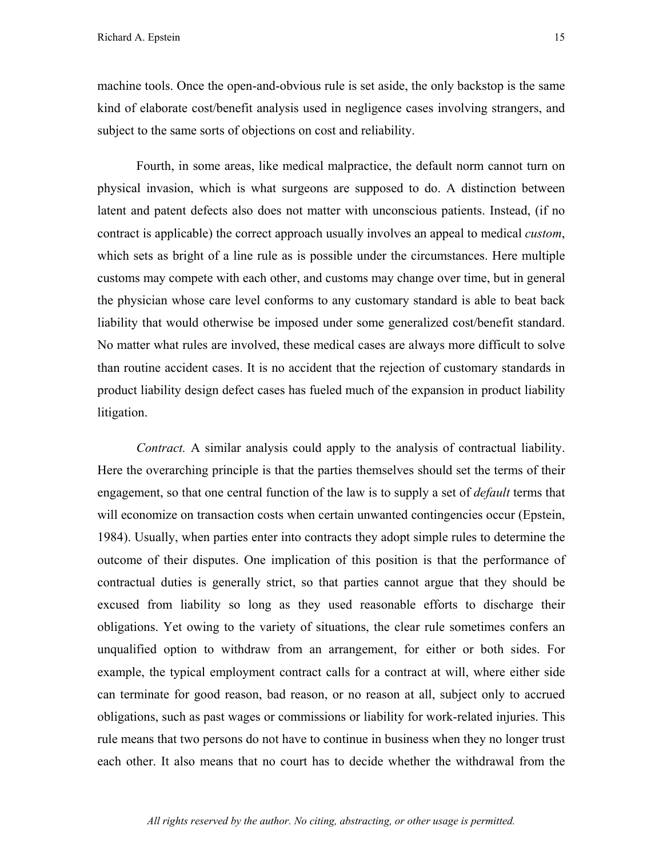machine tools. Once the open-and-obvious rule is set aside, the only backstop is the same kind of elaborate cost/benefit analysis used in negligence cases involving strangers, and subject to the same sorts of objections on cost and reliability.

Fourth, in some areas, like medical malpractice, the default norm cannot turn on physical invasion, which is what surgeons are supposed to do. A distinction between latent and patent defects also does not matter with unconscious patients. Instead, (if no contract is applicable) the correct approach usually involves an appeal to medical *custom*, which sets as bright of a line rule as is possible under the circumstances. Here multiple customs may compete with each other, and customs may change over time, but in general the physician whose care level conforms to any customary standard is able to beat back liability that would otherwise be imposed under some generalized cost/benefit standard. No matter what rules are involved, these medical cases are always more difficult to solve than routine accident cases. It is no accident that the rejection of customary standards in product liability design defect cases has fueled much of the expansion in product liability litigation.

*Contract.* A similar analysis could apply to the analysis of contractual liability. Here the overarching principle is that the parties themselves should set the terms of their engagement, so that one central function of the law is to supply a set of *default* terms that will economize on transaction costs when certain unwanted contingencies occur (Epstein, 1984). Usually, when parties enter into contracts they adopt simple rules to determine the outcome of their disputes. One implication of this position is that the performance of contractual duties is generally strict, so that parties cannot argue that they should be excused from liability so long as they used reasonable efforts to discharge their obligations. Yet owing to the variety of situations, the clear rule sometimes confers an unqualified option to withdraw from an arrangement, for either or both sides. For example, the typical employment contract calls for a contract at will, where either side can terminate for good reason, bad reason, or no reason at all, subject only to accrued obligations, such as past wages or commissions or liability for work-related injuries. This rule means that two persons do not have to continue in business when they no longer trust each other. It also means that no court has to decide whether the withdrawal from the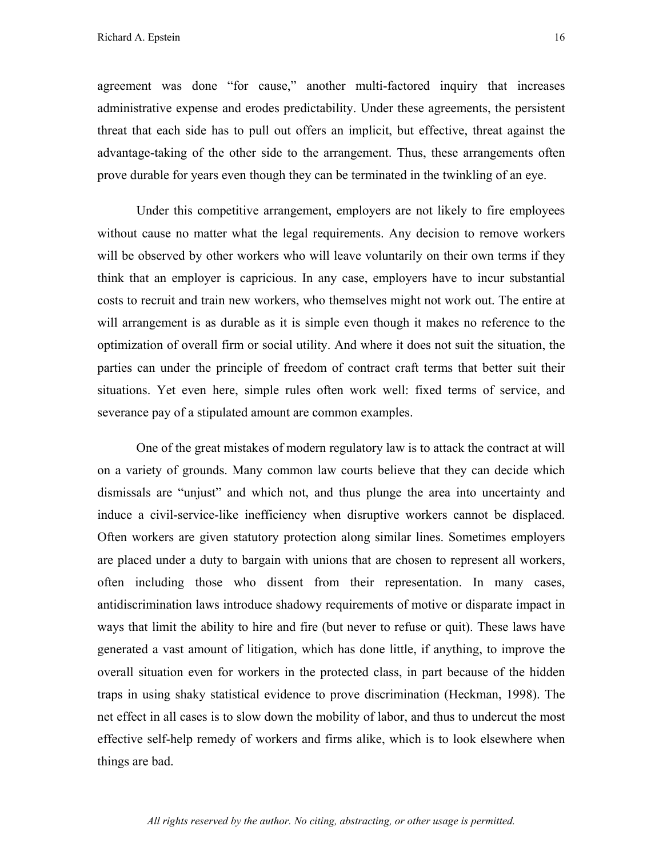agreement was done "for cause," another multi-factored inquiry that increases administrative expense and erodes predictability. Under these agreements, the persistent threat that each side has to pull out offers an implicit, but effective, threat against the advantage-taking of the other side to the arrangement. Thus, these arrangements often prove durable for years even though they can be terminated in the twinkling of an eye.

Under this competitive arrangement, employers are not likely to fire employees without cause no matter what the legal requirements. Any decision to remove workers will be observed by other workers who will leave voluntarily on their own terms if they think that an employer is capricious. In any case, employers have to incur substantial costs to recruit and train new workers, who themselves might not work out. The entire at will arrangement is as durable as it is simple even though it makes no reference to the optimization of overall firm or social utility. And where it does not suit the situation, the parties can under the principle of freedom of contract craft terms that better suit their situations. Yet even here, simple rules often work well: fixed terms of service, and severance pay of a stipulated amount are common examples.

One of the great mistakes of modern regulatory law is to attack the contract at will on a variety of grounds. Many common law courts believe that they can decide which dismissals are "unjust" and which not, and thus plunge the area into uncertainty and induce a civil-service-like inefficiency when disruptive workers cannot be displaced. Often workers are given statutory protection along similar lines. Sometimes employers are placed under a duty to bargain with unions that are chosen to represent all workers, often including those who dissent from their representation. In many cases, antidiscrimination laws introduce shadowy requirements of motive or disparate impact in ways that limit the ability to hire and fire (but never to refuse or quit). These laws have generated a vast amount of litigation, which has done little, if anything, to improve the overall situation even for workers in the protected class, in part because of the hidden traps in using shaky statistical evidence to prove discrimination (Heckman, 1998). The net effect in all cases is to slow down the mobility of labor, and thus to undercut the most effective self-help remedy of workers and firms alike, which is to look elsewhere when things are bad.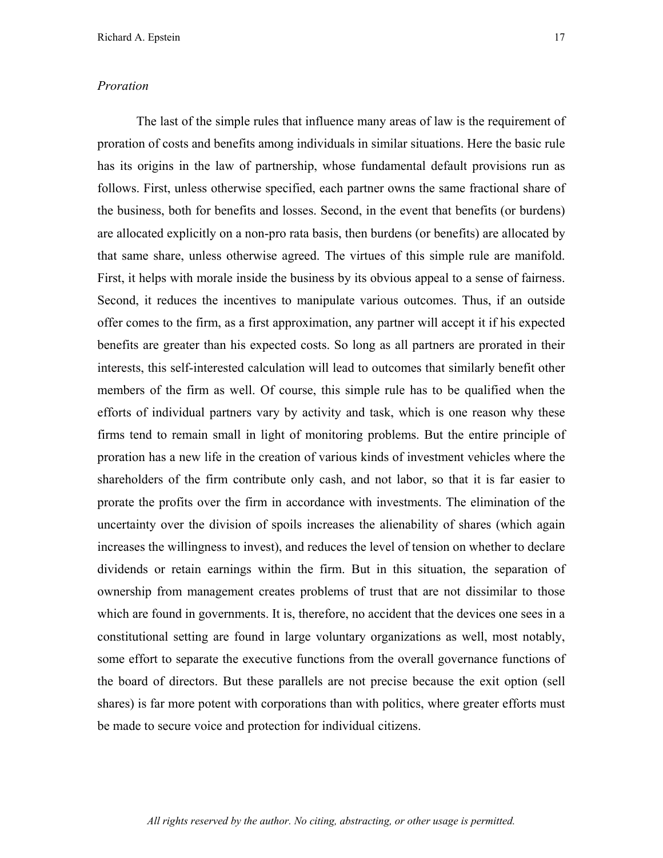#### *Proration*

The last of the simple rules that influence many areas of law is the requirement of proration of costs and benefits among individuals in similar situations. Here the basic rule has its origins in the law of partnership, whose fundamental default provisions run as follows. First, unless otherwise specified, each partner owns the same fractional share of the business, both for benefits and losses. Second, in the event that benefits (or burdens) are allocated explicitly on a non-pro rata basis, then burdens (or benefits) are allocated by that same share, unless otherwise agreed. The virtues of this simple rule are manifold. First, it helps with morale inside the business by its obvious appeal to a sense of fairness. Second, it reduces the incentives to manipulate various outcomes. Thus, if an outside offer comes to the firm, as a first approximation, any partner will accept it if his expected benefits are greater than his expected costs. So long as all partners are prorated in their interests, this self-interested calculation will lead to outcomes that similarly benefit other members of the firm as well. Of course, this simple rule has to be qualified when the efforts of individual partners vary by activity and task, which is one reason why these firms tend to remain small in light of monitoring problems. But the entire principle of proration has a new life in the creation of various kinds of investment vehicles where the shareholders of the firm contribute only cash, and not labor, so that it is far easier to prorate the profits over the firm in accordance with investments. The elimination of the uncertainty over the division of spoils increases the alienability of shares (which again increases the willingness to invest), and reduces the level of tension on whether to declare dividends or retain earnings within the firm. But in this situation, the separation of ownership from management creates problems of trust that are not dissimilar to those which are found in governments. It is, therefore, no accident that the devices one sees in a constitutional setting are found in large voluntary organizations as well, most notably, some effort to separate the executive functions from the overall governance functions of the board of directors. But these parallels are not precise because the exit option (sell shares) is far more potent with corporations than with politics, where greater efforts must be made to secure voice and protection for individual citizens.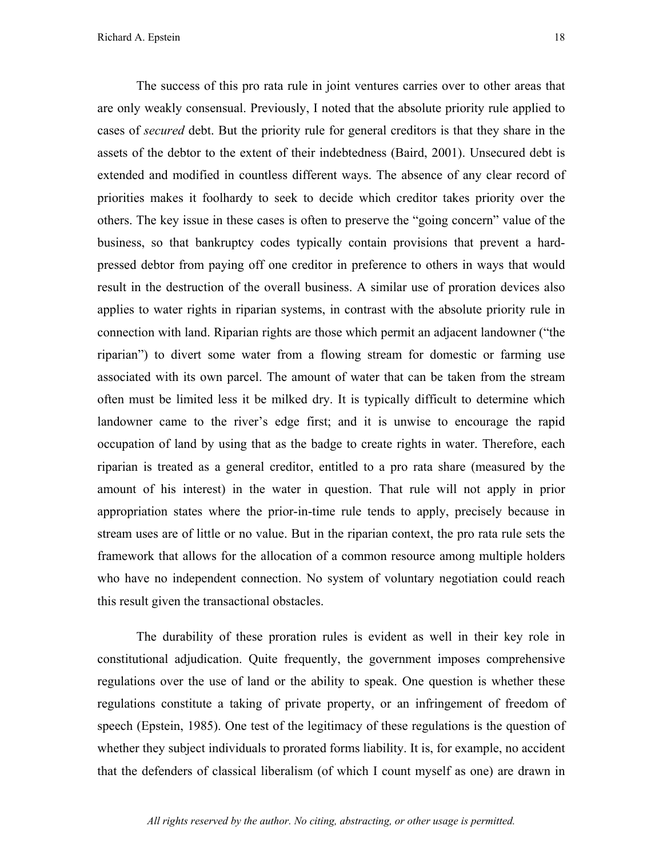The success of this pro rata rule in joint ventures carries over to other areas that are only weakly consensual. Previously, I noted that the absolute priority rule applied to cases of *secured* debt. But the priority rule for general creditors is that they share in the assets of the debtor to the extent of their indebtedness (Baird, 2001). Unsecured debt is extended and modified in countless different ways. The absence of any clear record of priorities makes it foolhardy to seek to decide which creditor takes priority over the others. The key issue in these cases is often to preserve the "going concern" value of the business, so that bankruptcy codes typically contain provisions that prevent a hardpressed debtor from paying off one creditor in preference to others in ways that would result in the destruction of the overall business. A similar use of proration devices also applies to water rights in riparian systems, in contrast with the absolute priority rule in connection with land. Riparian rights are those which permit an adjacent landowner ("the riparian") to divert some water from a flowing stream for domestic or farming use associated with its own parcel. The amount of water that can be taken from the stream often must be limited less it be milked dry. It is typically difficult to determine which landowner came to the river's edge first; and it is unwise to encourage the rapid occupation of land by using that as the badge to create rights in water. Therefore, each riparian is treated as a general creditor, entitled to a pro rata share (measured by the amount of his interest) in the water in question. That rule will not apply in prior appropriation states where the prior-in-time rule tends to apply, precisely because in stream uses are of little or no value. But in the riparian context, the pro rata rule sets the framework that allows for the allocation of a common resource among multiple holders who have no independent connection. No system of voluntary negotiation could reach this result given the transactional obstacles.

The durability of these proration rules is evident as well in their key role in constitutional adjudication. Quite frequently, the government imposes comprehensive regulations over the use of land or the ability to speak. One question is whether these regulations constitute a taking of private property, or an infringement of freedom of speech (Epstein, 1985). One test of the legitimacy of these regulations is the question of whether they subject individuals to prorated forms liability. It is, for example, no accident that the defenders of classical liberalism (of which I count myself as one) are drawn in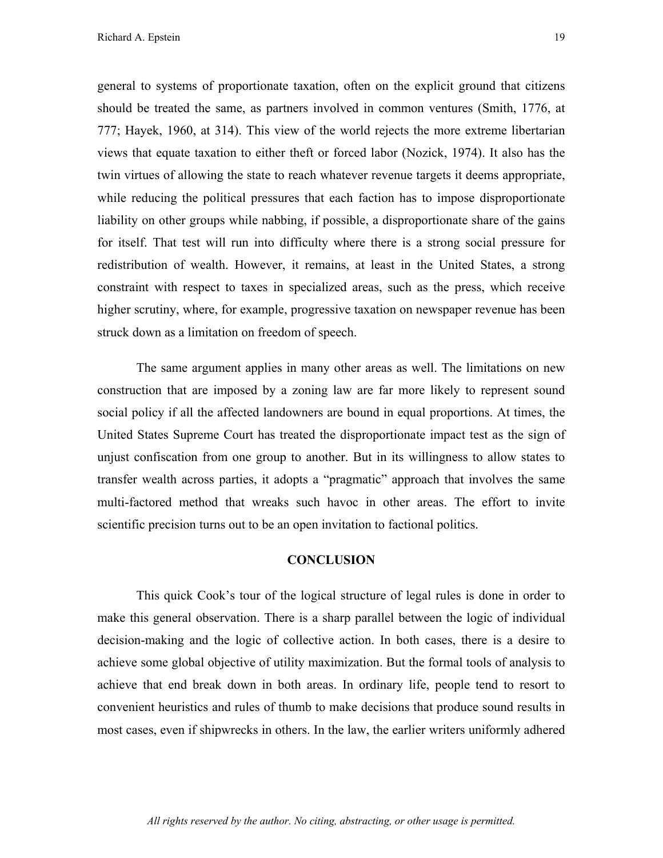general to systems of proportionate taxation, often on the explicit ground that citizens should be treated the same, as partners involved in common ventures (Smith, 1776, at 777; Hayek, 1960, at 314). This view of the world rejects the more extreme libertarian views that equate taxation to either theft or forced labor (Nozick, 1974). It also has the twin virtues of allowing the state to reach whatever revenue targets it deems appropriate, while reducing the political pressures that each faction has to impose disproportionate liability on other groups while nabbing, if possible, a disproportionate share of the gains for itself. That test will run into difficulty where there is a strong social pressure for redistribution of wealth. However, it remains, at least in the United States, a strong constraint with respect to taxes in specialized areas, such as the press, which receive higher scrutiny, where, for example, progressive taxation on newspaper revenue has been struck down as a limitation on freedom of speech.

The same argument applies in many other areas as well. The limitations on new construction that are imposed by a zoning law are far more likely to represent sound social policy if all the affected landowners are bound in equal proportions. At times, the United States Supreme Court has treated the disproportionate impact test as the sign of unjust confiscation from one group to another. But in its willingness to allow states to transfer wealth across parties, it adopts a "pragmatic" approach that involves the same multi-factored method that wreaks such havoc in other areas. The effort to invite scientific precision turns out to be an open invitation to factional politics.

#### **CONCLUSION**

This quick Cook's tour of the logical structure of legal rules is done in order to make this general observation. There is a sharp parallel between the logic of individual decision-making and the logic of collective action. In both cases, there is a desire to achieve some global objective of utility maximization. But the formal tools of analysis to achieve that end break down in both areas. In ordinary life, people tend to resort to convenient heuristics and rules of thumb to make decisions that produce sound results in most cases, even if shipwrecks in others. In the law, the earlier writers uniformly adhered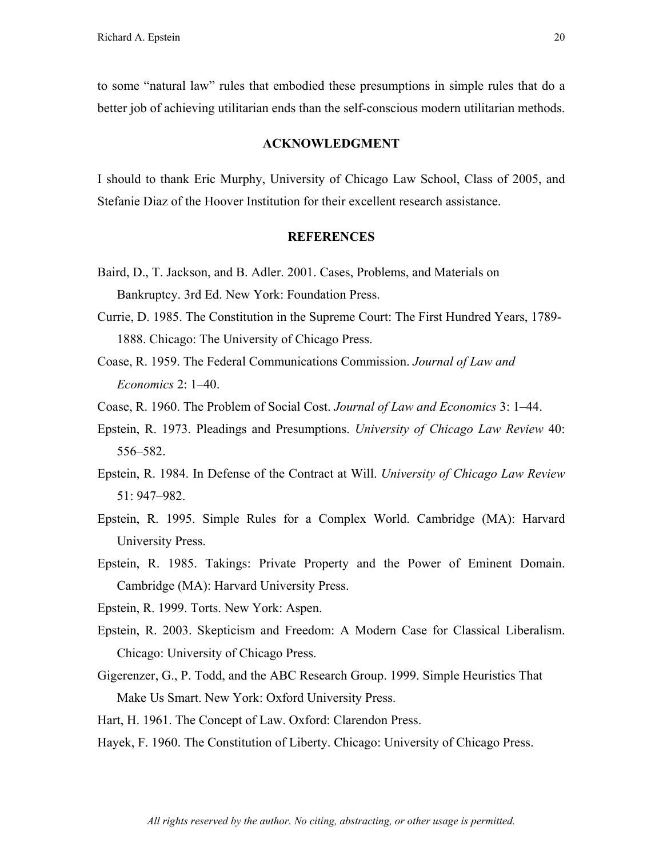to some "natural law" rules that embodied these presumptions in simple rules that do a better job of achieving utilitarian ends than the self-conscious modern utilitarian methods.

#### **ACKNOWLEDGMENT**

I should to thank Eric Murphy, University of Chicago Law School, Class of 2005, and Stefanie Diaz of the Hoover Institution for their excellent research assistance.

#### **REFERENCES**

- Baird, D., T. Jackson, and B. Adler. 2001. Cases, Problems, and Materials on Bankruptcy. 3rd Ed. New York: Foundation Press.
- Currie, D. 1985. The Constitution in the Supreme Court: The First Hundred Years, 1789- 1888. Chicago: The University of Chicago Press.
- Coase, R. 1959. The Federal Communications Commission. *Journal of Law and Economics* 2: 1–40.
- Coase, R. 1960. The Problem of Social Cost. *Journal of Law and Economics* 3: 1–44.
- Epstein, R. 1973. Pleadings and Presumptions. *University of Chicago Law Review* 40: 556–582.
- Epstein, R. 1984. In Defense of the Contract at Will. *University of Chicago Law Review*  51: 947–982.
- Epstein, R. 1995. Simple Rules for a Complex World. Cambridge (MA): Harvard University Press.
- Epstein, R. 1985. Takings: Private Property and the Power of Eminent Domain. Cambridge (MA): Harvard University Press.
- Epstein, R. 1999. Torts. New York: Aspen.
- Epstein, R. 2003. Skepticism and Freedom: A Modern Case for Classical Liberalism. Chicago: University of Chicago Press.
- Gigerenzer, G., P. Todd, and the ABC Research Group. 1999. Simple Heuristics That Make Us Smart. New York: Oxford University Press.
- Hart, H. 1961. The Concept of Law. Oxford: Clarendon Press.
- Hayek, F. 1960. The Constitution of Liberty. Chicago: University of Chicago Press.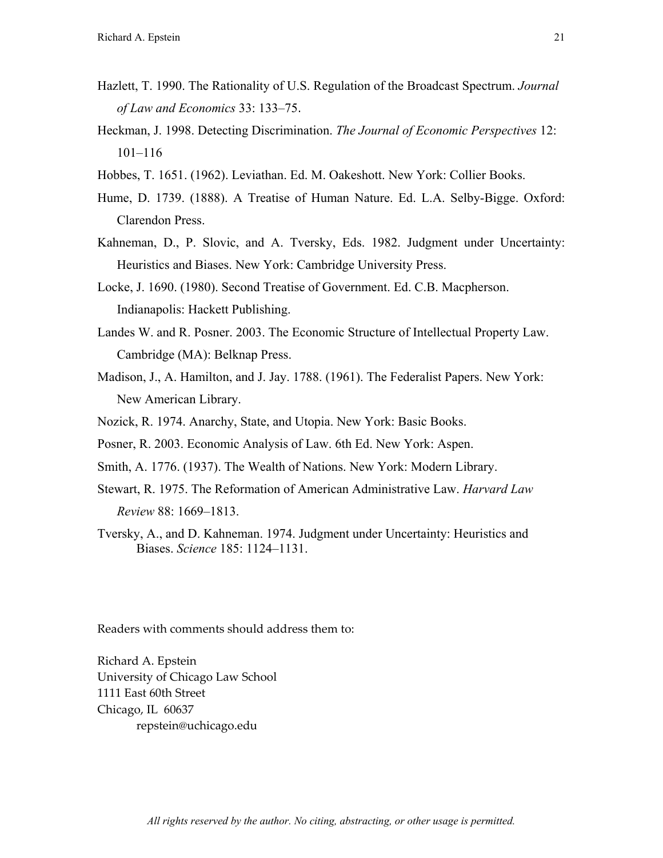- Hazlett, T. 1990. The Rationality of U.S. Regulation of the Broadcast Spectrum. *Journal of Law and Economics* 33: 133–75.
- Heckman, J. 1998. Detecting Discrimination. *The Journal of Economic Perspectives* 12: 101–116
- Hobbes, T. 1651. (1962). Leviathan. Ed. M. Oakeshott. New York: Collier Books.
- Hume, D. 1739. (1888). A Treatise of Human Nature. Ed. L.A. Selby-Bigge. Oxford: Clarendon Press.
- Kahneman, D., P. Slovic, and A. Tversky, Eds. 1982. Judgment under Uncertainty: Heuristics and Biases. New York: Cambridge University Press.
- Locke, J. 1690. (1980). Second Treatise of Government. Ed. C.B. Macpherson. Indianapolis: Hackett Publishing.
- Landes W. and R. Posner. 2003. The Economic Structure of Intellectual Property Law. Cambridge (MA): Belknap Press.
- Madison, J., A. Hamilton, and J. Jay. 1788. (1961). The Federalist Papers. New York: New American Library.
- Nozick, R. 1974. Anarchy, State, and Utopia. New York: Basic Books.
- Posner, R. 2003. Economic Analysis of Law. 6th Ed. New York: Aspen.
- Smith, A. 1776. (1937). The Wealth of Nations. New York: Modern Library.
- Stewart, R. 1975. The Reformation of American Administrative Law. *Harvard Law Review* 88: 1669–1813.
- Tversky, A., and D. Kahneman. 1974. Judgment under Uncertainty: Heuristics and Biases. *Science* 185: 1124–1131.

Readers with comments should address them to:

Richard A. Epstein University of Chicago Law School 1111 East 60th Street Chicago, IL 60637 repstein@uchicago.edu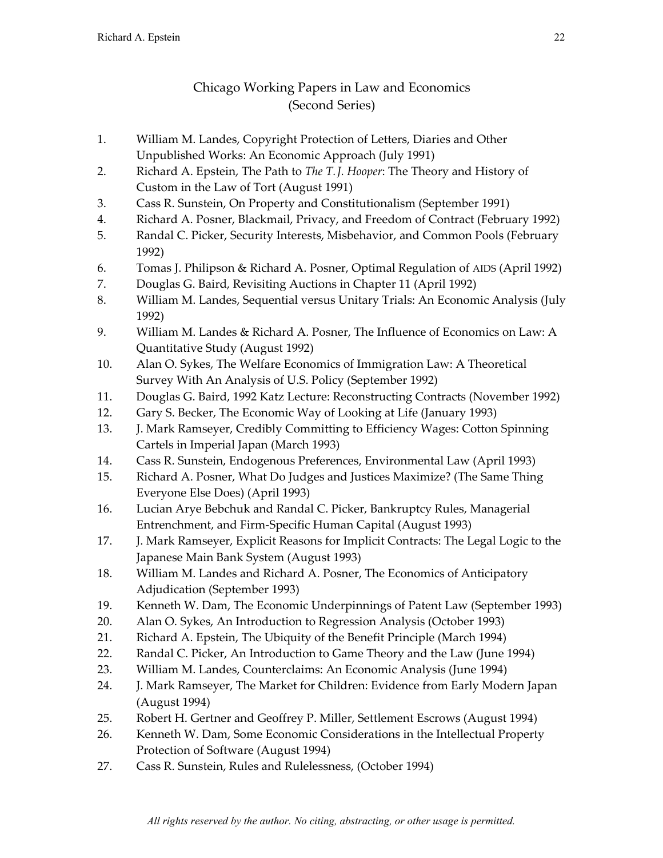# Chicago Working Papers in Law and Economics (Second Series)

- 1. William M. Landes, Copyright Protection of Letters, Diaries and Other Unpublished Works: An Economic Approach (July 1991)
- 2. Richard A. Epstein, The Path to *The T. J. Hooper*: The Theory and History of Custom in the Law of Tort (August 1991)
- 3. Cass R. Sunstein, On Property and Constitutionalism (September 1991)
- 4. Richard A. Posner, Blackmail, Privacy, and Freedom of Contract (February 1992)
- 5. Randal C. Picker, Security Interests, Misbehavior, and Common Pools (February 1992)
- 6. Tomas J. Philipson & Richard A. Posner, Optimal Regulation of AIDS (April 1992)
- 7. Douglas G. Baird, Revisiting Auctions in Chapter 11 (April 1992)
- 8. William M. Landes, Sequential versus Unitary Trials: An Economic Analysis (July 1992)
- 9. William M. Landes & Richard A. Posner, The Influence of Economics on Law: A Quantitative Study (August 1992)
- 10. Alan O. Sykes, The Welfare Economics of Immigration Law: A Theoretical Survey With An Analysis of U.S. Policy (September 1992)
- 11. Douglas G. Baird, 1992 Katz Lecture: Reconstructing Contracts (November 1992)
- 12. Gary S. Becker, The Economic Way of Looking at Life (January 1993)
- 13. J. Mark Ramseyer, Credibly Committing to Efficiency Wages: Cotton Spinning Cartels in Imperial Japan (March 1993)
- 14. Cass R. Sunstein, Endogenous Preferences, Environmental Law (April 1993)
- 15. Richard A. Posner, What Do Judges and Justices Maximize? (The Same Thing Everyone Else Does) (April 1993)
- 16. Lucian Arye Bebchuk and Randal C. Picker, Bankruptcy Rules, Managerial Entrenchment, and Firm-Specific Human Capital (August 1993)
- 17. J. Mark Ramseyer, Explicit Reasons for Implicit Contracts: The Legal Logic to the Japanese Main Bank System (August 1993)
- 18. William M. Landes and Richard A. Posner, The Economics of Anticipatory Adjudication (September 1993)
- 19. Kenneth W. Dam, The Economic Underpinnings of Patent Law (September 1993)
- 20. Alan O. Sykes, An Introduction to Regression Analysis (October 1993)
- 21. Richard A. Epstein, The Ubiquity of the Benefit Principle (March 1994)
- 22. Randal C. Picker, An Introduction to Game Theory and the Law (June 1994)
- 23. William M. Landes, Counterclaims: An Economic Analysis (June 1994)
- 24. J. Mark Ramseyer, The Market for Children: Evidence from Early Modern Japan (August 1994)
- 25. Robert H. Gertner and Geoffrey P. Miller, Settlement Escrows (August 1994)
- 26. Kenneth W. Dam, Some Economic Considerations in the Intellectual Property Protection of Software (August 1994)
- 27. Cass R. Sunstein, Rules and Rulelessness, (October 1994)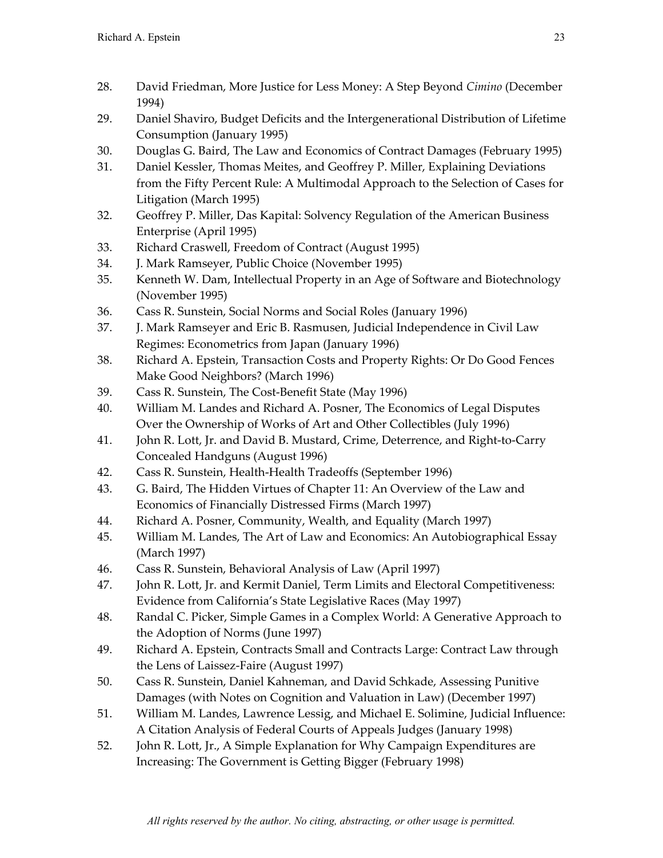- 28. David Friedman, More Justice for Less Money: A Step Beyond *Cimino* (December 1994)
- 29. Daniel Shaviro, Budget Deficits and the Intergenerational Distribution of Lifetime Consumption (January 1995)
- 30. Douglas G. Baird, The Law and Economics of Contract Damages (February 1995)
- 31. Daniel Kessler, Thomas Meites, and Geoffrey P. Miller, Explaining Deviations from the Fifty Percent Rule: A Multimodal Approach to the Selection of Cases for Litigation (March 1995)
- 32. Geoffrey P. Miller, Das Kapital: Solvency Regulation of the American Business Enterprise (April 1995)
- 33. Richard Craswell, Freedom of Contract (August 1995)
- 34. J. Mark Ramseyer, Public Choice (November 1995)
- 35. Kenneth W. Dam, Intellectual Property in an Age of Software and Biotechnology (November 1995)
- 36. Cass R. Sunstein, Social Norms and Social Roles (January 1996)
- 37. J. Mark Ramseyer and Eric B. Rasmusen, Judicial Independence in Civil Law Regimes: Econometrics from Japan (January 1996)
- 38. Richard A. Epstein, Transaction Costs and Property Rights: Or Do Good Fences Make Good Neighbors? (March 1996)
- 39. Cass R. Sunstein, The Cost-Benefit State (May 1996)
- 40. William M. Landes and Richard A. Posner, The Economics of Legal Disputes Over the Ownership of Works of Art and Other Collectibles (July 1996)
- 41. John R. Lott, Jr. and David B. Mustard, Crime, Deterrence, and Right-to-Carry Concealed Handguns (August 1996)
- 42. Cass R. Sunstein, Health-Health Tradeoffs (September 1996)
- 43. G. Baird, The Hidden Virtues of Chapter 11: An Overview of the Law and Economics of Financially Distressed Firms (March 1997)
- 44. Richard A. Posner, Community, Wealth, and Equality (March 1997)
- 45. William M. Landes, The Art of Law and Economics: An Autobiographical Essay (March 1997)
- 46. Cass R. Sunstein, Behavioral Analysis of Law (April 1997)
- 47. John R. Lott, Jr. and Kermit Daniel, Term Limits and Electoral Competitiveness: Evidence from California's State Legislative Races (May 1997)
- 48. Randal C. Picker, Simple Games in a Complex World: A Generative Approach to the Adoption of Norms (June 1997)
- 49. Richard A. Epstein, Contracts Small and Contracts Large: Contract Law through the Lens of Laissez-Faire (August 1997)
- 50. Cass R. Sunstein, Daniel Kahneman, and David Schkade, Assessing Punitive Damages (with Notes on Cognition and Valuation in Law) (December 1997)
- 51. William M. Landes, Lawrence Lessig, and Michael E. Solimine, Judicial Influence: A Citation Analysis of Federal Courts of Appeals Judges (January 1998)
- 52. John R. Lott, Jr., A Simple Explanation for Why Campaign Expenditures are Increasing: The Government is Getting Bigger (February 1998)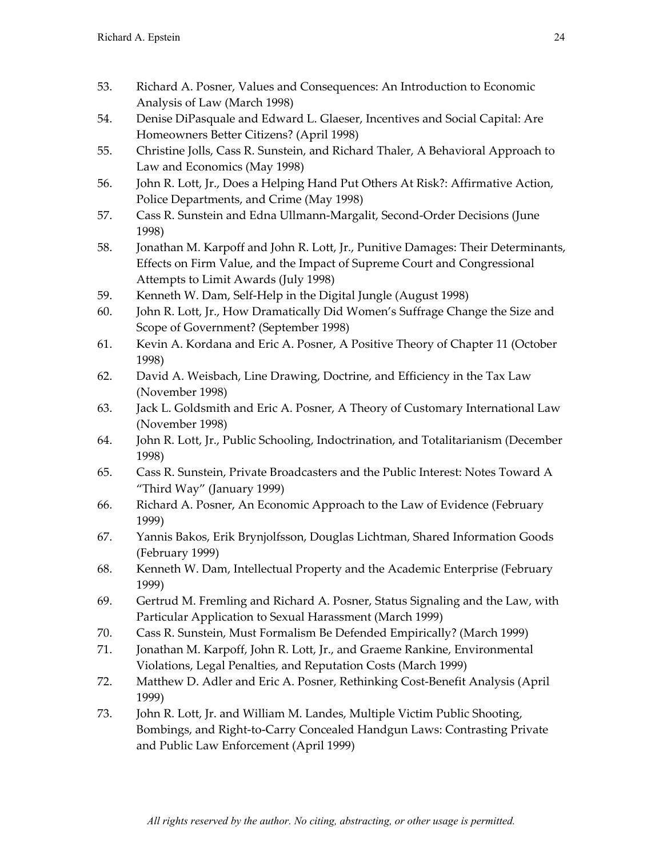- 53. Richard A. Posner, Values and Consequences: An Introduction to Economic Analysis of Law (March 1998)
- 54. Denise DiPasquale and Edward L. Glaeser, Incentives and Social Capital: Are Homeowners Better Citizens? (April 1998)
- 55. Christine Jolls, Cass R. Sunstein, and Richard Thaler, A Behavioral Approach to Law and Economics (May 1998)
- 56. John R. Lott, Jr., Does a Helping Hand Put Others At Risk?: Affirmative Action, Police Departments, and Crime (May 1998)
- 57. Cass R. Sunstein and Edna Ullmann-Margalit, Second-Order Decisions (June 1998)
- 58. Jonathan M. Karpoff and John R. Lott, Jr., Punitive Damages: Their Determinants, Effects on Firm Value, and the Impact of Supreme Court and Congressional Attempts to Limit Awards (July 1998)
- 59. Kenneth W. Dam, Self-Help in the Digital Jungle (August 1998)
- 60. John R. Lott, Jr., How Dramatically Did Women's Suffrage Change the Size and Scope of Government? (September 1998)
- 61. Kevin A. Kordana and Eric A. Posner, A Positive Theory of Chapter 11 (October 1998)
- 62. David A. Weisbach, Line Drawing, Doctrine, and Efficiency in the Tax Law (November 1998)
- 63. Jack L. Goldsmith and Eric A. Posner, A Theory of Customary International Law (November 1998)
- 64. John R. Lott, Jr., Public Schooling, Indoctrination, and Totalitarianism (December 1998)
- 65. Cass R. Sunstein, Private Broadcasters and the Public Interest: Notes Toward A "Third Way" (January 1999)
- 66. Richard A. Posner, An Economic Approach to the Law of Evidence (February 1999)
- 67. Yannis Bakos, Erik Brynjolfsson, Douglas Lichtman, Shared Information Goods (February 1999)
- 68. Kenneth W. Dam, Intellectual Property and the Academic Enterprise (February 1999)
- 69. Gertrud M. Fremling and Richard A. Posner, Status Signaling and the Law, with Particular Application to Sexual Harassment (March 1999)
- 70. Cass R. Sunstein, Must Formalism Be Defended Empirically? (March 1999)
- 71. Jonathan M. Karpoff, John R. Lott, Jr., and Graeme Rankine, Environmental Violations, Legal Penalties, and Reputation Costs (March 1999)
- 72. Matthew D. Adler and Eric A. Posner, Rethinking Cost-Benefit Analysis (April 1999)
- 73. John R. Lott, Jr. and William M. Landes, Multiple Victim Public Shooting, Bombings, and Right-to-Carry Concealed Handgun Laws: Contrasting Private and Public Law Enforcement (April 1999)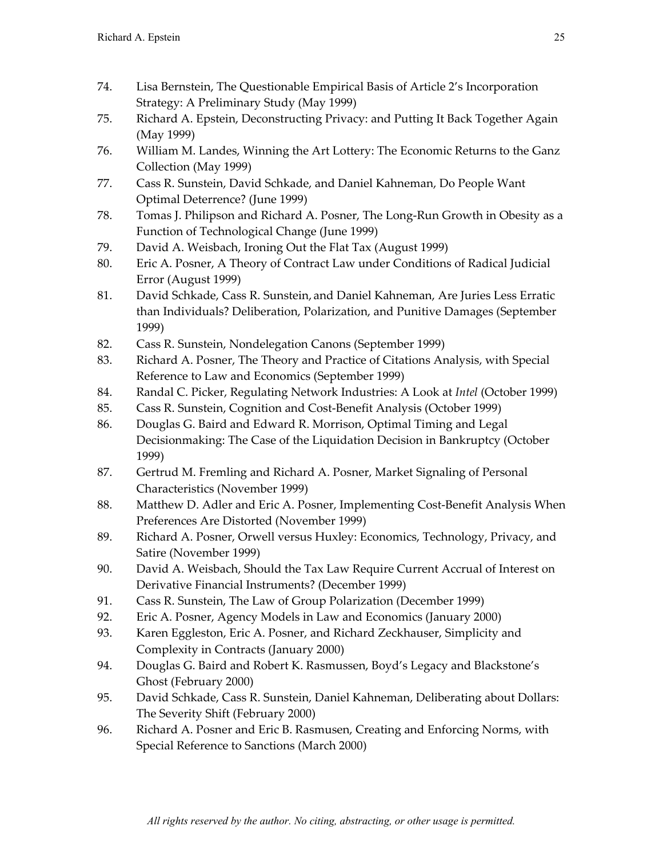- 74. Lisa Bernstein, The Questionable Empirical Basis of Article 2's Incorporation Strategy: A Preliminary Study (May 1999)
- 75. Richard A. Epstein, Deconstructing Privacy: and Putting It Back Together Again (May 1999)
- 76. William M. Landes, Winning the Art Lottery: The Economic Returns to the Ganz Collection (May 1999)
- 77. Cass R. Sunstein, David Schkade, and Daniel Kahneman, Do People Want Optimal Deterrence? (June 1999)
- 78. Tomas J. Philipson and Richard A. Posner, The Long-Run Growth in Obesity as a Function of Technological Change (June 1999)
- 79. David A. Weisbach, Ironing Out the Flat Tax (August 1999)
- 80. Eric A. Posner, A Theory of Contract Law under Conditions of Radical Judicial Error (August 1999)
- 81. David Schkade, Cass R. Sunstein, and Daniel Kahneman, Are Juries Less Erratic than Individuals? Deliberation, Polarization, and Punitive Damages (September 1999)
- 82. Cass R. Sunstein, Nondelegation Canons (September 1999)
- 83. Richard A. Posner, The Theory and Practice of Citations Analysis, with Special Reference to Law and Economics (September 1999)
- 84. Randal C. Picker, Regulating Network Industries: A Look at *Intel* (October 1999)
- 85. Cass R. Sunstein, Cognition and Cost-Benefit Analysis (October 1999)
- 86. Douglas G. Baird and Edward R. Morrison, Optimal Timing and Legal Decisionmaking: The Case of the Liquidation Decision in Bankruptcy (October 1999)
- 87. Gertrud M. Fremling and Richard A. Posner, Market Signaling of Personal Characteristics (November 1999)
- 88. Matthew D. Adler and Eric A. Posner, Implementing Cost-Benefit Analysis When Preferences Are Distorted (November 1999)
- 89. Richard A. Posner, Orwell versus Huxley: Economics, Technology, Privacy, and Satire (November 1999)
- 90. David A. Weisbach, Should the Tax Law Require Current Accrual of Interest on Derivative Financial Instruments? (December 1999)
- 91. Cass R. Sunstein, The Law of Group Polarization (December 1999)
- 92. Eric A. Posner, Agency Models in Law and Economics (January 2000)
- 93. Karen Eggleston, Eric A. Posner, and Richard Zeckhauser, Simplicity and Complexity in Contracts (January 2000)
- 94. Douglas G. Baird and Robert K. Rasmussen, Boyd's Legacy and Blackstone's Ghost (February 2000)
- 95. David Schkade, Cass R. Sunstein, Daniel Kahneman, Deliberating about Dollars: The Severity Shift (February 2000)
- 96. Richard A. Posner and Eric B. Rasmusen, Creating and Enforcing Norms, with Special Reference to Sanctions (March 2000)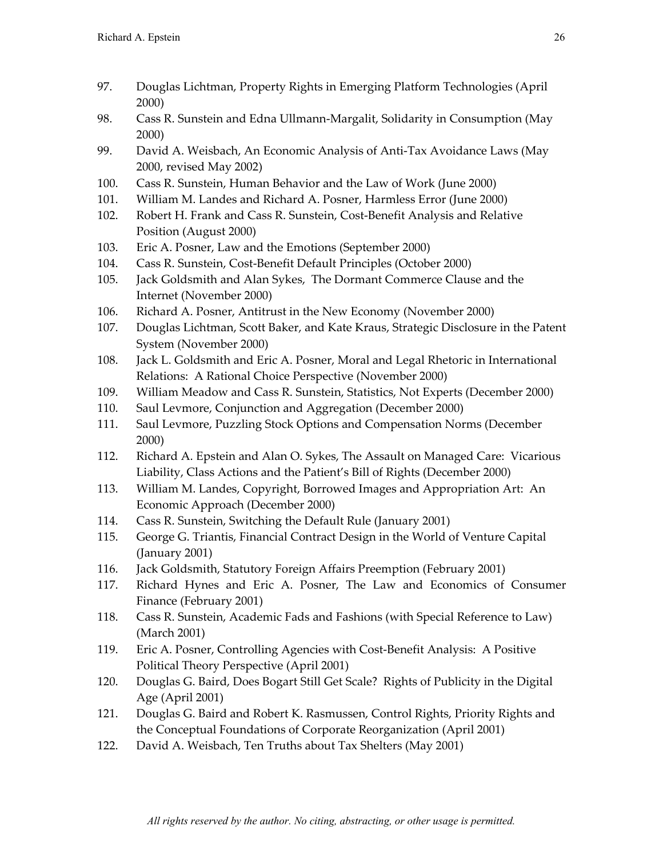- 97. Douglas Lichtman, Property Rights in Emerging Platform Technologies (April 2000)
- 98. Cass R. Sunstein and Edna Ullmann-Margalit, Solidarity in Consumption (May 2000)
- 99. David A. Weisbach, An Economic Analysis of Anti-Tax Avoidance Laws (May 2000, revised May 2002)
- 100. Cass R. Sunstein, Human Behavior and the Law of Work (June 2000)
- 101. William M. Landes and Richard A. Posner, Harmless Error (June 2000)
- 102. Robert H. Frank and Cass R. Sunstein, Cost-Benefit Analysis and Relative Position (August 2000)
- 103. Eric A. Posner, Law and the Emotions (September 2000)
- 104. Cass R. Sunstein, Cost-Benefit Default Principles (October 2000)
- 105. Jack Goldsmith and Alan Sykes, The Dormant Commerce Clause and the Internet (November 2000)
- 106. Richard A. Posner, Antitrust in the New Economy (November 2000)
- 107. Douglas Lichtman, Scott Baker, and Kate Kraus, Strategic Disclosure in the Patent System (November 2000)
- 108. Jack L. Goldsmith and Eric A. Posner, Moral and Legal Rhetoric in International Relations: A Rational Choice Perspective (November 2000)
- 109. William Meadow and Cass R. Sunstein, Statistics, Not Experts (December 2000)
- 110. Saul Levmore, Conjunction and Aggregation (December 2000)
- 111. Saul Levmore, Puzzling Stock Options and Compensation Norms (December 2000)
- 112. Richard A. Epstein and Alan O. Sykes, The Assault on Managed Care: Vicarious Liability, Class Actions and the Patient's Bill of Rights (December 2000)
- 113. William M. Landes, Copyright, Borrowed Images and Appropriation Art: An Economic Approach (December 2000)
- 114. Cass R. Sunstein, Switching the Default Rule (January 2001)
- 115. George G. Triantis, Financial Contract Design in the World of Venture Capital (January 2001)
- 116. Jack Goldsmith, Statutory Foreign Affairs Preemption (February 2001)
- 117. Richard Hynes and Eric A. Posner, The Law and Economics of Consumer Finance (February 2001)
- 118. Cass R. Sunstein, Academic Fads and Fashions (with Special Reference to Law) (March 2001)
- 119. Eric A. Posner, Controlling Agencies with Cost-Benefit Analysis: A Positive Political Theory Perspective (April 2001)
- 120. Douglas G. Baird, Does Bogart Still Get Scale? Rights of Publicity in the Digital Age (April 2001)
- 121. Douglas G. Baird and Robert K. Rasmussen, Control Rights, Priority Rights and the Conceptual Foundations of Corporate Reorganization (April 2001)
- 122. David A. Weisbach, Ten Truths about Tax Shelters (May 2001)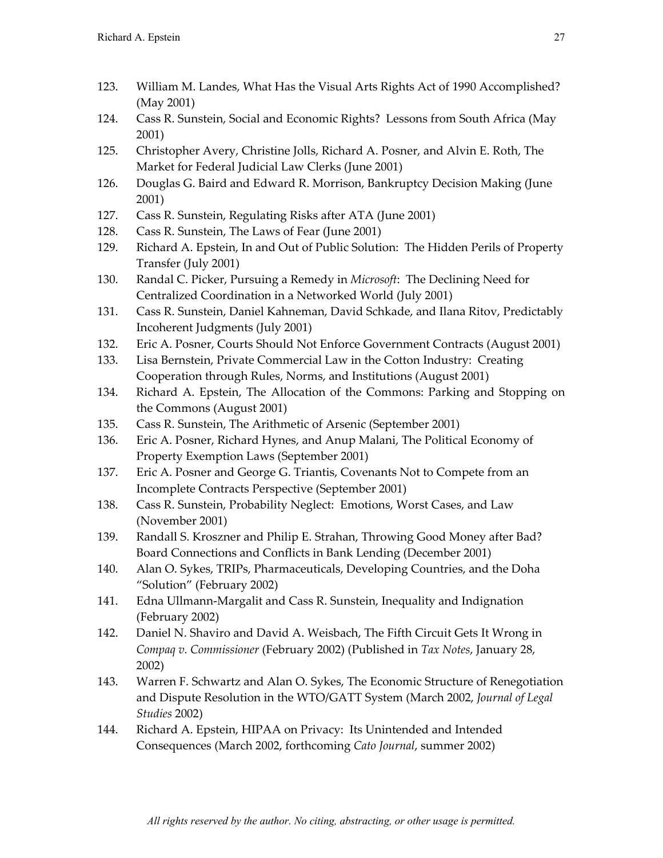- 123. William M. Landes, What Has the Visual Arts Rights Act of 1990 Accomplished? (May 2001)
- 124. Cass R. Sunstein, Social and Economic Rights? Lessons from South Africa (May 2001)
- 125. Christopher Avery, Christine Jolls, Richard A. Posner, and Alvin E. Roth, The Market for Federal Judicial Law Clerks (June 2001)
- 126. Douglas G. Baird and Edward R. Morrison, Bankruptcy Decision Making (June 2001)
- 127. Cass R. Sunstein, Regulating Risks after ATA (June 2001)
- 128. Cass R. Sunstein, The Laws of Fear (June 2001)
- 129. Richard A. Epstein, In and Out of Public Solution: The Hidden Perils of Property Transfer (July 2001)
- 130. Randal C. Picker, Pursuing a Remedy in *Microsoft*: The Declining Need for Centralized Coordination in a Networked World (July 2001)
- 131. Cass R. Sunstein, Daniel Kahneman, David Schkade, and Ilana Ritov, Predictably Incoherent Judgments (July 2001)
- 132. Eric A. Posner, Courts Should Not Enforce Government Contracts (August 2001)
- 133. Lisa Bernstein, Private Commercial Law in the Cotton Industry: Creating Cooperation through Rules, Norms, and Institutions (August 2001)
- 134. Richard A. Epstein, The Allocation of the Commons: Parking and Stopping on the Commons (August 2001)
- 135. Cass R. Sunstein, The Arithmetic of Arsenic (September 2001)
- 136. Eric A. Posner, Richard Hynes, and Anup Malani, The Political Economy of Property Exemption Laws (September 2001)
- 137. Eric A. Posner and George G. Triantis, Covenants Not to Compete from an Incomplete Contracts Perspective (September 2001)
- 138. Cass R. Sunstein, Probability Neglect: Emotions, Worst Cases, and Law (November 2001)
- 139. Randall S. Kroszner and Philip E. Strahan, Throwing Good Money after Bad? Board Connections and Conflicts in Bank Lending (December 2001)
- 140. Alan O. Sykes, TRIPs, Pharmaceuticals, Developing Countries, and the Doha "Solution" (February 2002)
- 141. Edna Ullmann-Margalit and Cass R. Sunstein, Inequality and Indignation (February 2002)
- 142. Daniel N. Shaviro and David A. Weisbach, The Fifth Circuit Gets It Wrong in *Compaq v. Commissioner* (February 2002) (Published in *Tax Notes*, January 28, 2002)
- 143. Warren F. Schwartz and Alan O. Sykes, The Economic Structure of Renegotiation and Dispute Resolution in the WTO/GATT System (March 2002, *Journal of Legal Studies* 2002)
- 144. Richard A. Epstein, HIPAA on Privacy: Its Unintended and Intended Consequences (March 2002, forthcoming *Cato Journal*, summer 2002)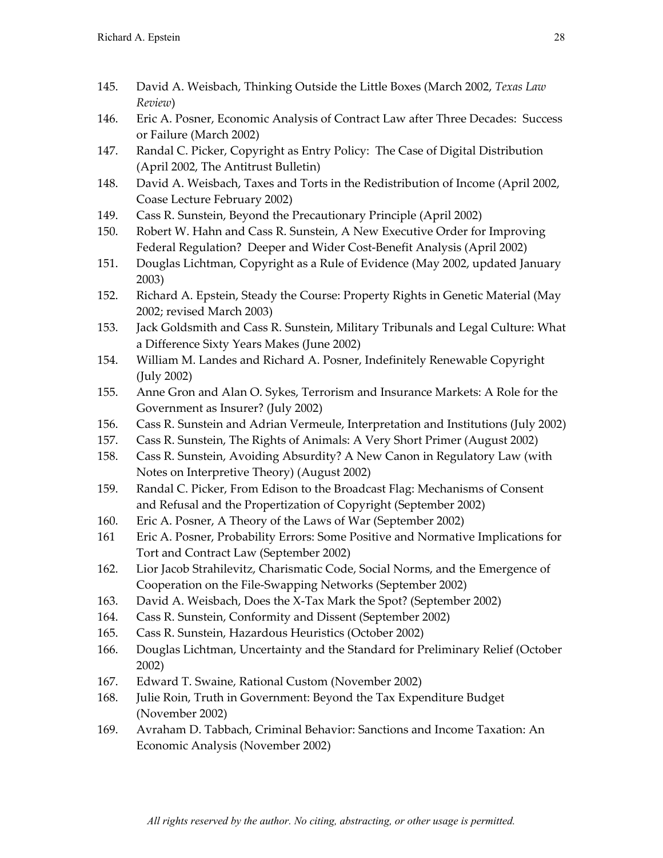- 145. David A. Weisbach, Thinking Outside the Little Boxes (March 2002, *Texas Law Review*)
- 146. Eric A. Posner, Economic Analysis of Contract Law after Three Decades: Success or Failure (March 2002)
- 147. Randal C. Picker, Copyright as Entry Policy: The Case of Digital Distribution (April 2002, The Antitrust Bulletin)
- 148. David A. Weisbach, Taxes and Torts in the Redistribution of Income (April 2002, Coase Lecture February 2002)
- 149. Cass R. Sunstein, Beyond the Precautionary Principle (April 2002)
- 150. Robert W. Hahn and Cass R. Sunstein, A New Executive Order for Improving Federal Regulation? Deeper and Wider Cost-Benefit Analysis (April 2002)
- 151. Douglas Lichtman, Copyright as a Rule of Evidence (May 2002, updated January 2003)
- 152. Richard A. Epstein, Steady the Course: Property Rights in Genetic Material (May 2002; revised March 2003)
- 153. Jack Goldsmith and Cass R. Sunstein, Military Tribunals and Legal Culture: What a Difference Sixty Years Makes (June 2002)
- 154. William M. Landes and Richard A. Posner, Indefinitely Renewable Copyright (July 2002)
- 155. Anne Gron and Alan O. Sykes, Terrorism and Insurance Markets: A Role for the Government as Insurer? (July 2002)
- 156. Cass R. Sunstein and Adrian Vermeule, Interpretation and Institutions (July 2002)
- 157. Cass R. Sunstein, The Rights of Animals: A Very Short Primer (August 2002)
- 158. Cass R. Sunstein, Avoiding Absurdity? A New Canon in Regulatory Law (with Notes on Interpretive Theory) (August 2002)
- 159. Randal C. Picker, From Edison to the Broadcast Flag: Mechanisms of Consent and Refusal and the Propertization of Copyright (September 2002)
- 160. Eric A. Posner, A Theory of the Laws of War (September 2002)
- 161 Eric A. Posner, Probability Errors: Some Positive and Normative Implications for Tort and Contract Law (September 2002)
- 162. Lior Jacob Strahilevitz, Charismatic Code, Social Norms, and the Emergence of Cooperation on the File-Swapping Networks (September 2002)
- 163. David A. Weisbach, Does the X-Tax Mark the Spot? (September 2002)
- 164. Cass R. Sunstein, Conformity and Dissent (September 2002)
- 165. Cass R. Sunstein, Hazardous Heuristics (October 2002)
- 166. Douglas Lichtman, Uncertainty and the Standard for Preliminary Relief (October 2002)
- 167. Edward T. Swaine, Rational Custom (November 2002)
- 168. Julie Roin, Truth in Government: Beyond the Tax Expenditure Budget (November 2002)
- 169. Avraham D. Tabbach, Criminal Behavior: Sanctions and Income Taxation: An Economic Analysis (November 2002)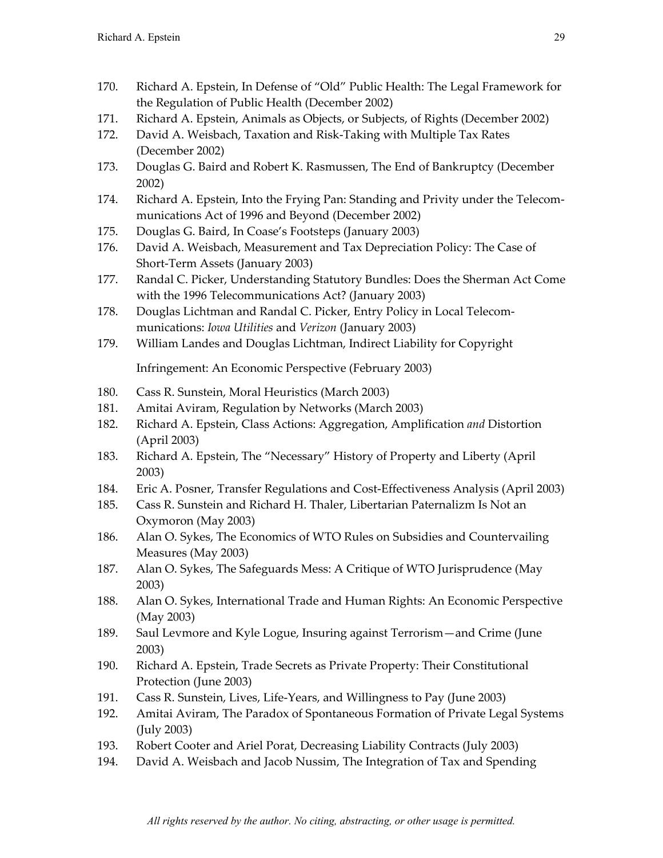- 170. Richard A. Epstein, In Defense of "Old" Public Health: The Legal Framework for the Regulation of Public Health (December 2002)
- 171. Richard A. Epstein, Animals as Objects, or Subjects, of Rights (December 2002)
- 172. David A. Weisbach, Taxation and Risk-Taking with Multiple Tax Rates (December 2002)
- 173. Douglas G. Baird and Robert K. Rasmussen, The End of Bankruptcy (December 2002)
- 174. Richard A. Epstein, Into the Frying Pan: Standing and Privity under the Telecommunications Act of 1996 and Beyond (December 2002)
- 175. Douglas G. Baird, In Coase's Footsteps (January 2003)
- 176. David A. Weisbach, Measurement and Tax Depreciation Policy: The Case of Short-Term Assets (January 2003)
- 177. Randal C. Picker, Understanding Statutory Bundles: Does the Sherman Act Come with the 1996 Telecommunications Act? (January 2003)
- 178. Douglas Lichtman and Randal C. Picker, Entry Policy in Local Telecommunications: *Iowa Utilities* and *Verizon* (January 2003)
- 179. William Landes and Douglas Lichtman, Indirect Liability for Copyright

Infringement: An Economic Perspective (February 2003)

- 180. Cass R. Sunstein, Moral Heuristics (March 2003)
- 181. Amitai Aviram, Regulation by Networks (March 2003)
- 182. Richard A. Epstein, Class Actions: Aggregation, Amplification *and* Distortion (April 2003)
- 183. Richard A. Epstein, The "Necessary" History of Property and Liberty (April 2003)
- 184. Eric A. Posner, Transfer Regulations and Cost-Effectiveness Analysis (April 2003)
- 185. Cass R. Sunstein and Richard H. Thaler, Libertarian Paternalizm Is Not an Oxymoron (May 2003)
- 186. Alan O. Sykes, The Economics of WTO Rules on Subsidies and Countervailing Measures (May 2003)
- 187. Alan O. Sykes, The Safeguards Mess: A Critique of WTO Jurisprudence (May 2003)
- 188. Alan O. Sykes, International Trade and Human Rights: An Economic Perspective (May 2003)
- 189. Saul Levmore and Kyle Logue, Insuring against Terrorism—and Crime (June 2003)
- 190. Richard A. Epstein, Trade Secrets as Private Property: Their Constitutional Protection (June 2003)
- 191. Cass R. Sunstein, Lives, Life-Years, and Willingness to Pay (June 2003)
- 192. Amitai Aviram, The Paradox of Spontaneous Formation of Private Legal Systems (July 2003)
- 193. Robert Cooter and Ariel Porat, Decreasing Liability Contracts (July 2003)
- 194. David A. Weisbach and Jacob Nussim, The Integration of Tax and Spending